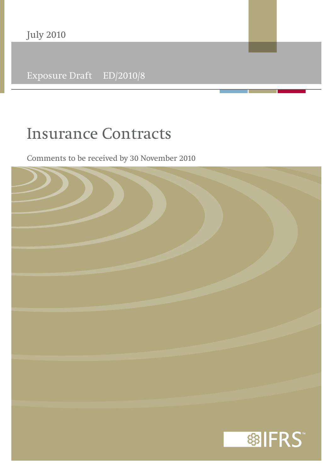Exposure Draft ED/2010/8

# **Insurance Contracts**

Comments to be received by 30 November 2010

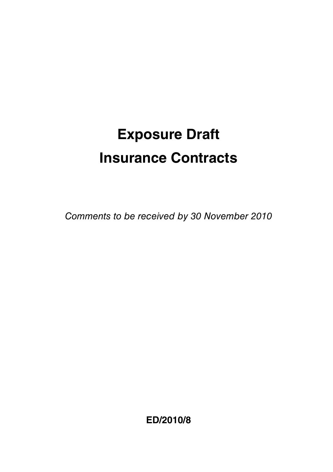# **Exposure Draft Insurance Contracts**

Comments to be received by 30 November 2010

**ED/2010/8**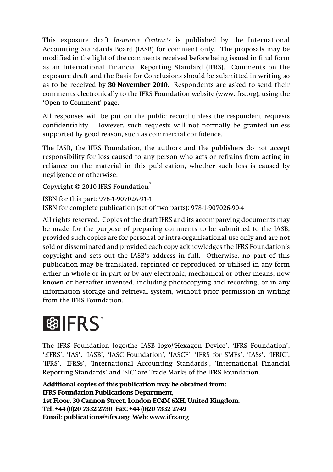This exposure draft *Insurance Contracts* is published by the International Accounting Standards Board (IASB) for comment only. The proposals may be modified in the light of the comments received before being issued in final form as an International Financial Reporting Standard (IFRS). Comments on the exposure draft and the Basis for Conclusions should be submitted in writing so as to be received by **30 November 2010.** Respondents are asked to send their comments electronically to the IFRS Foundation website (www.ifrs.org), using the 'Open to Comment' page.

All responses will be put on the public record unless the respondent requests confidentiality. However, such requests will not normally be granted unless supported by good reason, such as commercial confidence.

The IASB, the IFRS Foundation, the authors and the publishers do not accept responsibility for loss caused to any person who acts or refrains from acting in reliance on the material in this publication, whether such loss is caused by negligence or otherwise.

Copyright © 2010 IFRS Foundation®

ISBN for this part: 978-1-907026-91-1 ISBN for complete publication (set of two parts): 978-1-907026-90-4

All rights reserved. Copies of the draft IFRS and its accompanying documents may be made for the purpose of preparing comments to be submitted to the IASB, provided such copies are for personal or intra-organisational use only and are not sold or disseminated and provided each copy acknowledges the IFRS Foundation's copyright and sets out the IASB's address in full. Otherwise, no part of this publication may be translated, reprinted or reproduced or utilised in any form either in whole or in part or by any electronic, mechanical or other means, now known or hereafter invented, including photocopying and recording, or in any information storage and retrieval system, without prior permission in writing from the IFRS Foundation.

# 图 IFRS

The IFRS Foundation logo/the IASB logo/'Hexagon Device', 'IFRS Foundation', '*e*IFRS', 'IAS', 'IASB', 'IASC Foundation', 'IASCF', 'IFRS for SMEs', 'IASs', 'IFRIC', 'IFRS', 'IFRSs', 'International Accounting Standards', 'International Financial Reporting Standards' and 'SIC' are Trade Marks of the IFRS Foundation.

**Additional copies of this publication may be obtained from: IFRS Foundation Publications Department, 1st Floor, 30 Cannon Street, London EC4M 6XH, United Kingdom. Tel: +44 (0)20 7332 2730 Fax: +44 (0)20 7332 2749 Email: publications@ifrs.org Web: www.ifrs.org**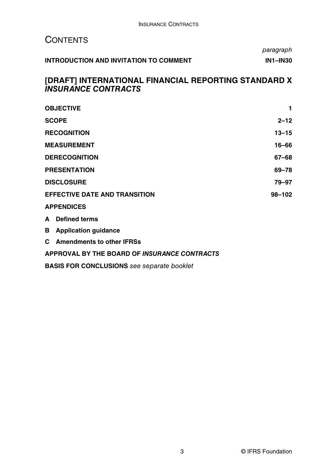# **CONTENTS**

paragraph **INTRODUCTION AND INVITATION TO COMMENT INTERCOLL TO A LIMIT AND INSIDE A LIMIT AND INSIDE A LIMIT AND INSIDE A** 

### **[DRAFT] INTERNATIONAL FINANCIAL REPORTING STANDARD X** *INSURANCE CONTRACTS*

| <b>OBJECTIVE</b>                     |                             | 1         |
|--------------------------------------|-----------------------------|-----------|
| <b>SCOPE</b>                         |                             | $2 - 12$  |
| <b>RECOGNITION</b>                   |                             | $13 - 15$ |
| <b>MEASUREMENT</b>                   |                             | 16-66     |
| <b>DERECOGNITION</b>                 |                             | 67–68     |
| <b>PRESENTATION</b>                  |                             | 69-78     |
| <b>DISCLOSURE</b>                    |                             | 79–97     |
| <b>EFFECTIVE DATE AND TRANSITION</b> |                             | 98-102    |
| <b>APPENDICES</b>                    |                             |           |
| A                                    | <b>Defined terms</b>        |           |
| в                                    | <b>Application quidance</b> |           |
|                                      | C Amendments to other IFRSs |           |

#### **APPROVAL BY THE BOARD OF** *INSURANCE CONTRACTS*

**BASIS FOR CONCLUSIONS** see separate booklet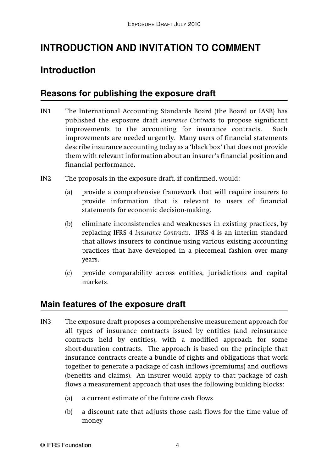# **INTRODUCTION AND INVITATION TO COMMENT**

# **Introduction**

## **Reasons for publishing the exposure draft**

- IN1 The International Accounting Standards Board (the Board or IASB) has published the exposure draft *Insurance Contracts* to propose significant improvements to the accounting for insurance contracts. Such improvements are needed urgently. Many users of financial statements describe insurance accounting today as a 'black box' that does not provide them with relevant information about an insurer's financial position and financial performance.
- IN2 The proposals in the exposure draft, if confirmed, would:
	- (a) provide a comprehensive framework that will require insurers to provide information that is relevant to users of financial statements for economic decision-making.
	- (b) eliminate inconsistencies and weaknesses in existing practices, by replacing IFRS 4 *Insurance Contracts*. IFRS 4 is an interim standard that allows insurers to continue using various existing accounting practices that have developed in a piecemeal fashion over many years.
	- (c) provide comparability across entities, jurisdictions and capital markets.

## **Main features of the exposure draft**

- IN3 The exposure draft proposes a comprehensive measurement approach for all types of insurance contracts issued by entities (and reinsurance contracts held by entities), with a modified approach for some short-duration contracts. The approach is based on the principle that insurance contracts create a bundle of rights and obligations that work together to generate a package of cash inflows (premiums) and outflows (benefits and claims). An insurer would apply to that package of cash flows a measurement approach that uses the following building blocks:
	- (a) a current estimate of the future cash flows
	- (b) a discount rate that adjusts those cash flows for the time value of money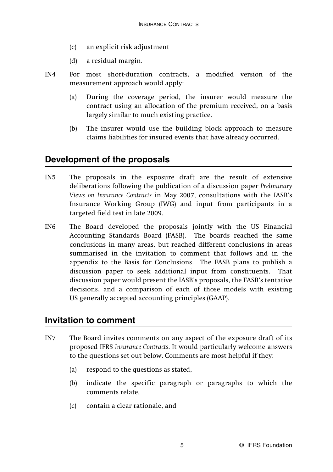- (c) an explicit risk adjustment
- (d) a residual margin.
- IN4 For most short-duration contracts, a modified version of the measurement approach would apply:
	- (a) During the coverage period, the insurer would measure the contract using an allocation of the premium received, on a basis largely similar to much existing practice.
	- (b) The insurer would use the building block approach to measure claims liabilities for insured events that have already occurred.

## **Development of the proposals**

- IN5 The proposals in the exposure draft are the result of extensive deliberations following the publication of a discussion paper *Preliminary Views on Insurance Contracts* in May 2007, consultations with the IASB's Insurance Working Group (IWG) and input from participants in a targeted field test in late 2009.
- IN6 The Board developed the proposals jointly with the US Financial Accounting Standards Board (FASB). The boards reached the same conclusions in many areas, but reached different conclusions in areas summarised in the invitation to comment that follows and in the appendix to the Basis for Conclusions. The FASB plans to publish a discussion paper to seek additional input from constituents. That discussion paper would present the IASB's proposals, the FASB's tentative decisions, and a comparison of each of those models with existing US generally accepted accounting principles (GAAP).

### **Invitation to comment**

- IN7 The Board invites comments on any aspect of the exposure draft of its proposed IFRS *Insurance Contracts*. It would particularly welcome answers to the questions set out below. Comments are most helpful if they:
	- (a) respond to the questions as stated,
	- (b) indicate the specific paragraph or paragraphs to which the comments relate,
	- (c) contain a clear rationale, and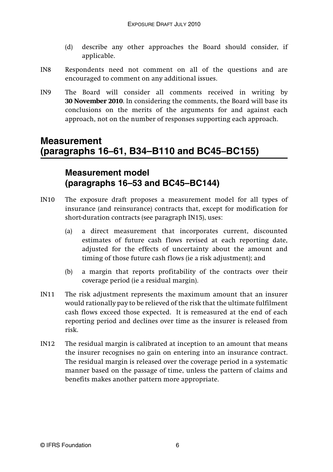- (d) describe any other approaches the Board should consider, if applicable.
- IN8 Respondents need not comment on all of the questions and are encouraged to comment on any additional issues.
- IN9 The Board will consider all comments received in writing by **30 November 2010**. In considering the comments, the Board will base its conclusions on the merits of the arguments for and against each approach, not on the number of responses supporting each approach.

# **Measurement (paragraphs 16–61, B34–B110 and BC45–BC155)**

# **Measurement model (paragraphs 16–53 and BC45–BC144)**

- IN10 The exposure draft proposes a measurement model for all types of insurance (and reinsurance) contracts that, except for modification for short-duration contracts (see paragraph IN15), uses:
	- (a) a direct measurement that incorporates current, discounted estimates of future cash flows revised at each reporting date, adjusted for the effects of uncertainty about the amount and timing of those future cash flows (ie a risk adjustment); and
	- (b) a margin that reports profitability of the contracts over their coverage period (ie a residual margin).
- IN11 The risk adjustment represents the maximum amount that an insurer would rationally pay to be relieved of the risk that the ultimate fulfilment cash flows exceed those expected. It is remeasured at the end of each reporting period and declines over time as the insurer is released from risk.
- IN12 The residual margin is calibrated at inception to an amount that means the insurer recognises no gain on entering into an insurance contract. The residual margin is released over the coverage period in a systematic manner based on the passage of time, unless the pattern of claims and benefits makes another pattern more appropriate.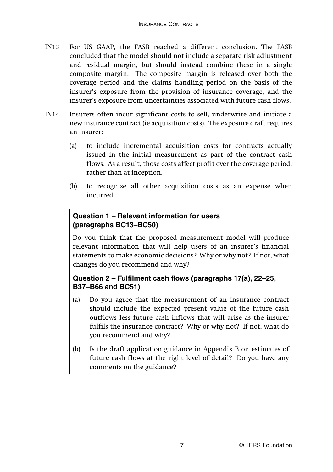- IN13 For US GAAP, the FASB reached a different conclusion. The FASB concluded that the model should not include a separate risk adjustment and residual margin, but should instead combine these in a single composite margin. The composite margin is released over both the coverage period and the claims handling period on the basis of the insurer's exposure from the provision of insurance coverage, and the insurer's exposure from uncertainties associated with future cash flows.
- IN14 Insurers often incur significant costs to sell, underwrite and initiate a new insurance contract (ie acquisition costs). The exposure draft requires an insurer:
	- (a) to include incremental acquisition costs for contracts actually issued in the initial measurement as part of the contract cash flows. As a result, those costs affect profit over the coverage period, rather than at inception.
	- (b) to recognise all other acquisition costs as an expense when incurred.

### **Question 1 – Relevant information for users (paragraphs BC13–BC50)**

Do you think that the proposed measurement model will produce relevant information that will help users of an insurer's financial statements to make economic decisions? Why or why not? If not, what changes do you recommend and why?

### **Question 2 – Fulfilment cash flows (paragraphs 17(a), 22–25, B37–B66 and BC51)**

- (a) Do you agree that the measurement of an insurance contract should include the expected present value of the future cash outflows less future cash inflows that will arise as the insurer fulfils the insurance contract? Why or why not? If not, what do you recommend and why?
- (b) Is the draft application guidance in Appendix B on estimates of future cash flows at the right level of detail? Do you have any comments on the guidance?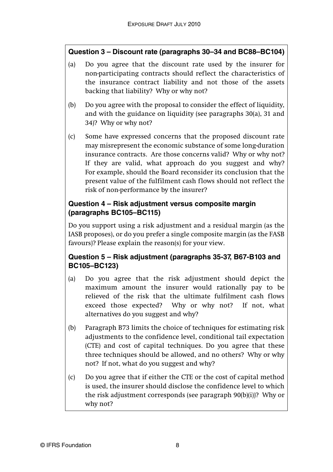### **Question 3 – Discount rate (paragraphs 30–34 and BC88–BC104)**

- (a) Do you agree that the discount rate used by the insurer for non-participating contracts should reflect the characteristics of the insurance contract liability and not those of the assets backing that liability? Why or why not?
- (b) Do you agree with the proposal to consider the effect of liquidity, and with the guidance on liquidity (see paragraphs 30(a), 31 and 34)? Why or why not?
- (c) Some have expressed concerns that the proposed discount rate may misrepresent the economic substance of some long-duration insurance contracts. Are those concerns valid? Why or why not? If they are valid, what approach do you suggest and why? For example, should the Board reconsider its conclusion that the present value of the fulfilment cash flows should not reflect the risk of non-performance by the insurer?

### **Question 4 – Risk adjustment versus composite margin (paragraphs BC105–BC115)**

Do you support using a risk adjustment and a residual margin (as the IASB proposes), or do you prefer a single composite margin (as the FASB favours)? Please explain the reason(s) for your view.

### **Question 5 – Risk adjustment (paragraphs 35-37, B67-B103 and BC105–BC123)**

- (a) Do you agree that the risk adjustment should depict the maximum amount the insurer would rationally pay to be relieved of the risk that the ultimate fulfilment cash flows exceed those expected? Why or why not? If not, what alternatives do you suggest and why?
- (b) Paragraph B73 limits the choice of techniques for estimating risk adjustments to the confidence level, conditional tail expectation (CTE) and cost of capital techniques. Do you agree that these three techniques should be allowed, and no others? Why or why not? If not, what do you suggest and why?
- (c) Do you agree that if either the CTE or the cost of capital method is used, the insurer should disclose the confidence level to which the risk adjustment corresponds (see paragraph 90(b)(i))? Why or why not?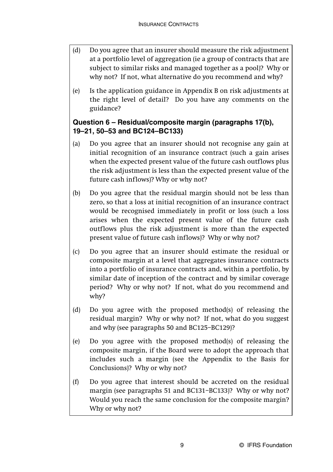- (d) Do you agree that an insurer should measure the risk adjustment at a portfolio level of aggregation (ie a group of contracts that are subject to similar risks and managed together as a pool)? Why or why not? If not, what alternative do you recommend and why?
- (e) Is the application guidance in Appendix B on risk adjustments at the right level of detail? Do you have any comments on the guidance?

### **Question 6 – Residual/composite margin (paragraphs 17(b), 19–21, 50–53 and BC124–BC133)**

- (a) Do you agree that an insurer should not recognise any gain at initial recognition of an insurance contract (such a gain arises when the expected present value of the future cash outflows plus the risk adjustment is less than the expected present value of the future cash inflows)? Why or why not?
- (b) Do you agree that the residual margin should not be less than zero, so that a loss at initial recognition of an insurance contract would be recognised immediately in profit or loss (such a loss arises when the expected present value of the future cash outflows plus the risk adjustment is more than the expected present value of future cash inflows)? Why or why not?
- (c) Do you agree that an insurer should estimate the residual or composite margin at a level that aggregates insurance contracts into a portfolio of insurance contracts and, within a portfolio, by similar date of inception of the contract and by similar coverage period? Why or why not? If not, what do you recommend and why?
- (d) Do you agree with the proposed method(s) of releasing the residual margin? Why or why not? If not, what do you suggest and why (see paragraphs 50 and BC125–BC129)?
- (e) Do you agree with the proposed method(s) of releasing the composite margin, if the Board were to adopt the approach that includes such a margin (see the Appendix to the Basis for Conclusions)? Why or why not?
- (f) Do you agree that interest should be accreted on the residual margin (see paragraphs 51 and BC131–BC133)? Why or why not? Would you reach the same conclusion for the composite margin? Why or why not?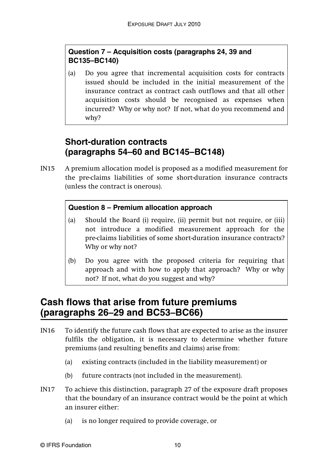### **Question 7 – Acquisition costs (paragraphs 24, 39 and BC135–BC140)**

(a) Do you agree that incremental acquisition costs for contracts issued should be included in the initial measurement of the insurance contract as contract cash outflows and that all other acquisition costs should be recognised as expenses when incurred? Why or why not? If not, what do you recommend and why?

# **Short-duration contracts (paragraphs 54–60 and BC145–BC148)**

IN15 A premium allocation model is proposed as a modified measurement for the pre-claims liabilities of some short-duration insurance contracts (unless the contract is onerous).

### **Question 8 – Premium allocation approach**

- (a) Should the Board (i) require, (ii) permit but not require, or (iii) not introduce a modified measurement approach for the pre-claims liabilities of some short-duration insurance contracts? Why or why not?
- (b) Do you agree with the proposed criteria for requiring that approach and with how to apply that approach? Why or why not? If not, what do you suggest and why?

# **Cash flows that arise from future premiums (paragraphs 26–29 and BC53–BC66)**

- IN16 To identify the future cash flows that are expected to arise as the insurer fulfils the obligation, it is necessary to determine whether future premiums (and resulting benefits and claims) arise from:
	- (a) existing contracts (included in the liability measurement) or
	- (b) future contracts (not included in the measurement).
- IN17 To achieve this distinction, paragraph 27 of the exposure draft proposes that the boundary of an insurance contract would be the point at which an insurer either:
	- (a) is no longer required to provide coverage, or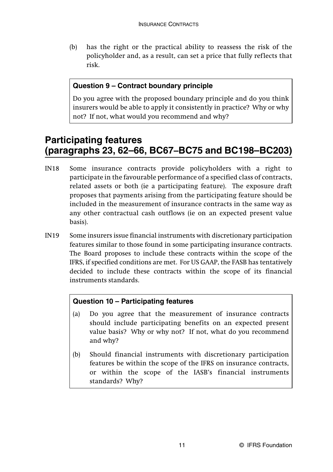(b) has the right or the practical ability to reassess the risk of the policyholder and, as a result, can set a price that fully reflects that risk.

### **Question 9 – Contract boundary principle**

Do you agree with the proposed boundary principle and do you think insurers would be able to apply it consistently in practice? Why or why not? If not, what would you recommend and why?

# **Participating features (paragraphs 23, 62–66, BC67–BC75 and BC198–BC203)**

- IN18 Some insurance contracts provide policyholders with a right to participate in the favourable performance of a specified class of contracts, related assets or both (ie a participating feature). The exposure draft proposes that payments arising from the participating feature should be included in the measurement of insurance contracts in the same way as any other contractual cash outflows (ie on an expected present value basis).
- IN19 Some insurers issue financial instruments with discretionary participation features similar to those found in some participating insurance contracts. The Board proposes to include these contracts within the scope of the IFRS, if specified conditions are met. For US GAAP, the FASB has tentatively decided to include these contracts within the scope of its financial instruments standards.

### **Question 10 – Participating features**

- (a) Do you agree that the measurement of insurance contracts should include participating benefits on an expected present value basis? Why or why not? If not, what do you recommend and why?
- (b) Should financial instruments with discretionary participation features be within the scope of the IFRS on insurance contracts, or within the scope of the IASB's financial instruments standards? Why?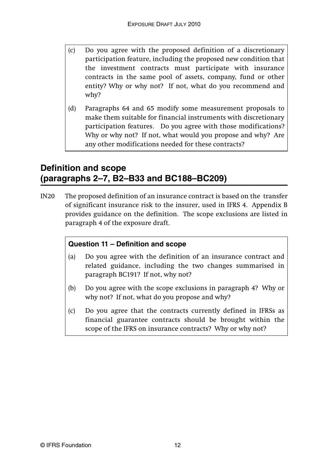- (c) Do you agree with the proposed definition of a discretionary participation feature, including the proposed new condition that the investment contracts must participate with insurance contracts in the same pool of assets, company, fund or other entity? Why or why not? If not, what do you recommend and why?
- (d) Paragraphs 64 and 65 modify some measurement proposals to make them suitable for financial instruments with discretionary participation features. Do you agree with those modifications? Why or why not? If not, what would you propose and why? Are any other modifications needed for these contracts?

## **Definition and scope (paragraphs 2–7, B2–B33 and BC188–BC209)**

IN20 The proposed definition of an insurance contract is based on the transfer of significant insurance risk to the insurer, used in IFRS 4. Appendix B provides guidance on the definition. The scope exclusions are listed in paragraph 4 of the exposure draft.

### **Question 11 – Definition and scope**

- (a) Do you agree with the definition of an insurance contract and related guidance, including the two changes summarised in paragraph BC191? If not, why not?
- (b) Do you agree with the scope exclusions in paragraph 4? Why or why not? If not, what do you propose and why?
- (c) Do you agree that the contracts currently defined in IFRSs as financial guarantee contracts should be brought within the scope of the IFRS on insurance contracts? Why or why not?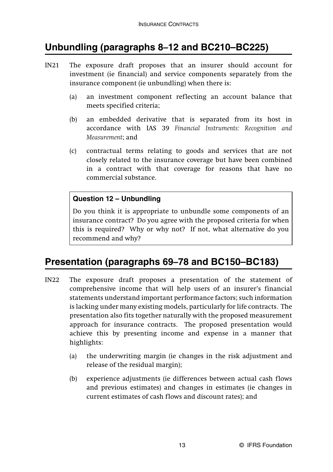# **Unbundling (paragraphs 8–12 and BC210–BC225)**

- IN21 The exposure draft proposes that an insurer should account for investment (ie financial) and service components separately from the insurance component (ie unbundling) when there is:
	- (a) an investment component reflecting an account balance that meets specified criteria;
	- (b) an embedded derivative that is separated from its host in accordance with IAS 39 *Financial Instruments: Recognition and Measurement*; and
	- (c) contractual terms relating to goods and services that are not closely related to the insurance coverage but have been combined in a contract with that coverage for reasons that have no commercial substance.

### **Question 12 – Unbundling**

Do you think it is appropriate to unbundle some components of an insurance contract? Do you agree with the proposed criteria for when this is required? Why or why not? If not, what alternative do you recommend and why?

# **Presentation (paragraphs 69–78 and BC150–BC183)**

- IN22 The exposure draft proposes a presentation of the statement of comprehensive income that will help users of an insurer's financial statements understand important performance factors; such information is lacking under many existing models, particularly for life contracts. The presentation also fits together naturally with the proposed measurement approach for insurance contracts. The proposed presentation would achieve this by presenting income and expense in a manner that highlights:
	- (a) the underwriting margin (ie changes in the risk adjustment and release of the residual margin);
	- (b) experience adjustments (ie differences between actual cash flows and previous estimates) and changes in estimates (ie changes in current estimates of cash flows and discount rates); and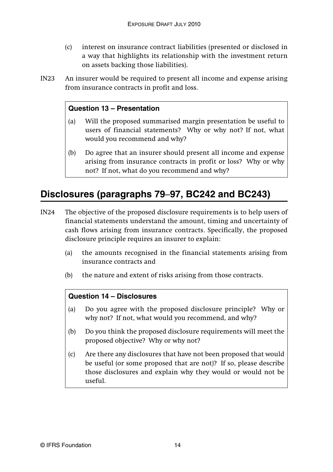- (c) interest on insurance contract liabilities (presented or disclosed in a way that highlights its relationship with the investment return on assets backing those liabilities).
- IN23 An insurer would be required to present all income and expense arising from insurance contracts in profit and loss.

#### **Question 13 – Presentation**

- (a) Will the proposed summarised margin presentation be useful to users of financial statements? Why or why not? If not, what would you recommend and why?
- (b) Do agree that an insurer should present all income and expense arising from insurance contracts in profit or loss? Why or why not? If not, what do you recommend and why?

# **Disclosures (paragraphs 79**–**97, BC242 and BC243)**

- IN24 The objective of the proposed disclosure requirements is to help users of financial statements understand the amount, timing and uncertainty of cash flows arising from insurance contracts. Specifically, the proposed disclosure principle requires an insurer to explain:
	- (a) the amounts recognised in the financial statements arising from insurance contracts and
	- (b) the nature and extent of risks arising from those contracts.

### **Question 14 – Disclosures**

- (a) Do you agree with the proposed disclosure principle? Why or why not? If not, what would you recommend, and why?
- (b) Do you think the proposed disclosure requirements will meet the proposed objective? Why or why not?
- (c) Are there any disclosures that have not been proposed that would be useful (or some proposed that are not)? If so, please describe those disclosures and explain why they would or would not be useful.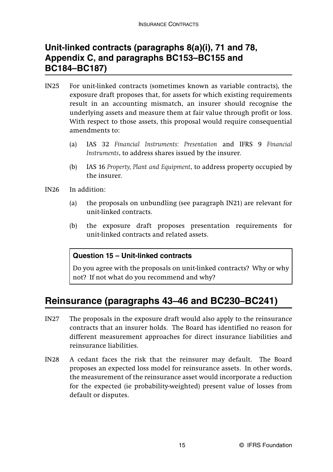# **Unit-linked contracts (paragraphs 8(a)(i), 71 and 78, Appendix C, and paragraphs BC153–BC155 and BC184–BC187)**

- IN25 For unit-linked contracts (sometimes known as variable contracts), the exposure draft proposes that, for assets for which existing requirements result in an accounting mismatch, an insurer should recognise the underlying assets and measure them at fair value through profit or loss. With respect to those assets, this proposal would require consequential amendments to:
	- (a) IAS 32 *Financial Instruments: Presentation* and IFRS 9 *Financial Instruments*, to address shares issued by the insurer.
	- (b) IAS 16 *Property, Plant and Equipment*, to address property occupied by the insurer.
- IN26 In addition:
	- (a) the proposals on unbundling (see paragraph IN21) are relevant for unit-linked contracts.
	- (b) the exposure draft proposes presentation requirements for unit-linked contracts and related assets.

#### **Question 15 – Unit-linked contracts**

Do you agree with the proposals on unit-linked contracts? Why or why not? If not what do you recommend and why?

# **Reinsurance (paragraphs 43–46 and BC230–BC241)**

- IN27 The proposals in the exposure draft would also apply to the reinsurance contracts that an insurer holds. The Board has identified no reason for different measurement approaches for direct insurance liabilities and reinsurance liabilities.
- IN28 A cedant faces the risk that the reinsurer may default. The Board proposes an expected loss model for reinsurance assets. In other words, the measurement of the reinsurance asset would incorporate a reduction for the expected (ie probability-weighted) present value of losses from default or disputes.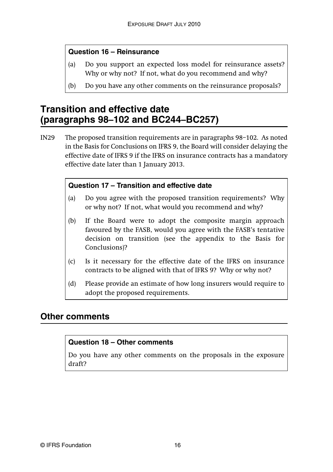#### **Question 16 – Reinsurance**

- (a) Do you support an expected loss model for reinsurance assets? Why or why not? If not, what do you recommend and why?
- (b) Do you have any other comments on the reinsurance proposals?

# **Transition and effective date (paragraphs 98–102 and BC244–BC257)**

IN29 The proposed transition requirements are in paragraphs 98–102. As noted in the Basis for Conclusions on IFRS 9, the Board will consider delaying the effective date of IFRS 9 if the IFRS on insurance contracts has a mandatory effective date later than 1 January 2013.

#### **Question 17 – Transition and effective date**

- (a) Do you agree with the proposed transition requirements? Why or why not? If not, what would you recommend and why?
- (b) If the Board were to adopt the composite margin approach favoured by the FASB, would you agree with the FASB's tentative decision on transition (see the appendix to the Basis for Conclusions)?
- (c) Is it necessary for the effective date of the IFRS on insurance contracts to be aligned with that of IFRS 9? Why or why not?
- (d) Please provide an estimate of how long insurers would require to adopt the proposed requirements.

### **Other comments**

#### **Question 18 – Other comments**

Do you have any other comments on the proposals in the exposure draft?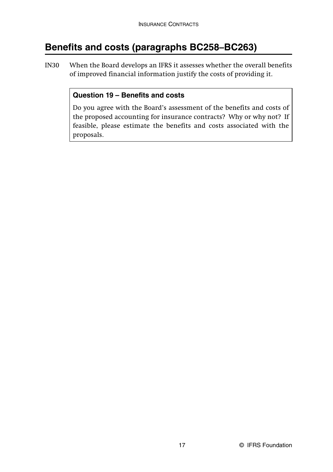# **Benefits and costs (paragraphs BC258–BC263)**

IN30 When the Board develops an IFRS it assesses whether the overall benefits of improved financial information justify the costs of providing it.

### **Question 19 – Benefits and costs**

Do you agree with the Board's assessment of the benefits and costs of the proposed accounting for insurance contracts? Why or why not? If feasible, please estimate the benefits and costs associated with the proposals.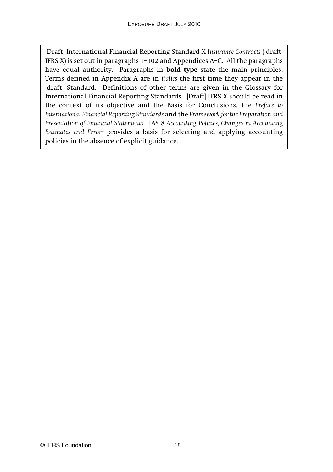[Draft] International Financial Reporting Standard X *Insurance Contracts* ([draft] IFRS X) is set out in paragraphs 1–102 and Appendices A–C. All the paragraphs have equal authority. Paragraphs in **bold type** state the main principles. Terms defined in Appendix A are in *italics* the first time they appear in the [draft] Standard. Definitions of other terms are given in the Glossary for International Financial Reporting Standards. [Draft] IFRS X should be read in the context of its objective and the Basis for Conclusions, the *Preface to International Financial Reporting Standards* and the *Framework for the Preparation and Presentation of Financial Statements*. IAS 8 *Accounting Policies, Changes in Accounting Estimates and Errors* provides a basis for selecting and applying accounting policies in the absence of explicit guidance.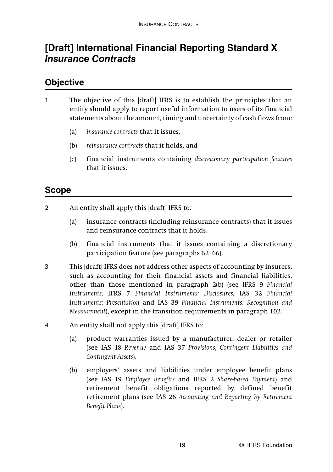# **[Draft] International Financial Reporting Standard X**  *Insurance Contracts*

### **Objective**

- 1 The objective of this [draft] IFRS is to establish the principles that an entity should apply to report useful information to users of its financial statements about the amount, timing and uncertainty of cash flows from:
	- (a) *insurance contracts* that it issues,
	- (b) *reinsurance contracts* that it holds, and
	- (c) financial instruments containing *discretionary participation features* that it issues.

## **Scope**

- 2 An entity shall apply this [draft] IFRS to:
	- (a) insurance contracts (including reinsurance contracts) that it issues and reinsurance contracts that it holds.
	- (b) financial instruments that it issues containing a discretionary participation feature (see paragraphs 62–66).
- 3 This [draft] IFRS does not address other aspects of accounting by insurers, such as accounting for their financial assets and financial liabilities, other than those mentioned in paragraph 2(b) (see IFRS 9 *Financial Instruments,* IFRS 7 *Financial Instruments: Disclosures,* IAS 32 *Financial Instruments: Presentation* and IAS 39 *Financial Instruments: Recognition and Measurement*), except in the transition requirements in paragraph 102.
- 4 An entity shall not apply this [draft] IFRS to:
	- (a) product warranties issued by a manufacturer, dealer or retailer (see IAS 18 *Revenue* and IAS 37 *Provisions, Contingent Liabilities and Contingent Assets*).
	- (b) employers' assets and liabilities under employee benefit plans (see IAS 19 *Employee Benefits* and IFRS 2 *Share-based Payment*) and retirement benefit obligations reported by defined benefit retirement plans (see IAS 26 *Accounting and Reporting by Retirement Benefit Plans*).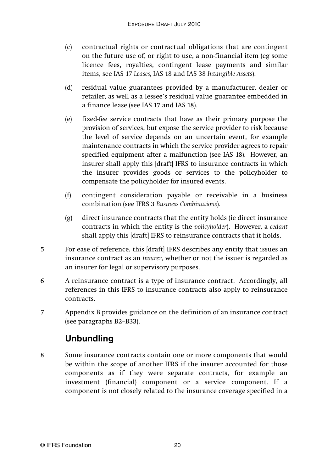- (c) contractual rights or contractual obligations that are contingent on the future use of, or right to use, a non-financial item (eg some licence fees, royalties, contingent lease payments and similar items, see IAS 17 *Leases,* IAS 18 and IAS 38 *Intangible Assets*).
- (d) residual value guarantees provided by a manufacturer, dealer or retailer, as well as a lessee's residual value guarantee embedded in a finance lease (see IAS 17 and IAS 18).
- (e) fixed-fee service contracts that have as their primary purpose the provision of services, but expose the service provider to risk because the level of service depends on an uncertain event, for example maintenance contracts in which the service provider agrees to repair specified equipment after a malfunction (see IAS 18). However, an insurer shall apply this [draft] IFRS to insurance contracts in which the insurer provides goods or services to the policyholder to compensate the policyholder for insured events.
- (f) contingent consideration payable or receivable in a business combination (see IFRS 3 *Business Combinations*).
- (g) direct insurance contracts that the entity holds (ie direct insurance contracts in which the entity is the *policyholder*). However, a *cedant* shall apply this [draft] IFRS to reinsurance contracts that it holds.
- 5 For ease of reference, this [draft] IFRS describes any entity that issues an insurance contract as an *insurer*, whether or not the issuer is regarded as an insurer for legal or supervisory purposes.
- 6 A reinsurance contract is a type of insurance contract. Accordingly, all references in this IFRS to insurance contracts also apply to reinsurance contracts.
- 7 Appendix B provides guidance on the definition of an insurance contract (see paragraphs B2–B33).

# **Unbundling**

8 Some insurance contracts contain one or more components that would be within the scope of another IFRS if the insurer accounted for those components as if they were separate contracts, for example an investment (financial) component or a service component. If a component is not closely related to the insurance coverage specified in a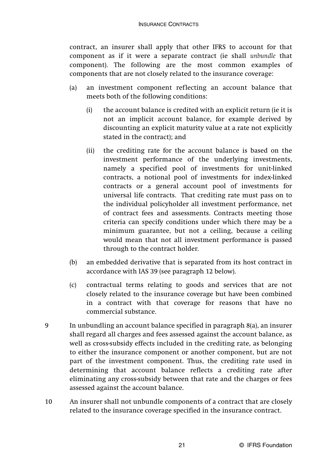contract, an insurer shall apply that other IFRS to account for that component as if it were a separate contract (ie shall *unbundle* that component). The following are the most common examples of components that are not closely related to the insurance coverage:

- (a) an investment component reflecting an account balance that meets both of the following conditions:
	- (i) the account balance is credited with an explicit return (ie it is not an implicit account balance, for example derived by discounting an explicit maturity value at a rate not explicitly stated in the contract); and
	- (ii) the crediting rate for the account balance is based on the investment performance of the underlying investments, namely a specified pool of investments for unit-linked contracts, a notional pool of investments for index-linked contracts or a general account pool of investments for universal life contracts. That crediting rate must pass on to the individual policyholder all investment performance, net of contract fees and assessments. Contracts meeting those criteria can specify conditions under which there may be a minimum guarantee, but not a ceiling, because a ceiling would mean that not all investment performance is passed through to the contract holder.
- (b) an embedded derivative that is separated from its host contract in accordance with IAS 39 (see paragraph 12 below).
- (c) contractual terms relating to goods and services that are not closely related to the insurance coverage but have been combined in a contract with that coverage for reasons that have no commercial substance.
- 9 In unbundling an account balance specified in paragraph 8(a), an insurer shall regard all charges and fees assessed against the account balance, as well as cross-subsidy effects included in the crediting rate, as belonging to either the insurance component or another component, but are not part of the investment component. Thus, the crediting rate used in determining that account balance reflects a crediting rate after eliminating any cross-subsidy between that rate and the charges or fees assessed against the account balance.
- 10 An insurer shall not unbundle components of a contract that are closely related to the insurance coverage specified in the insurance contract.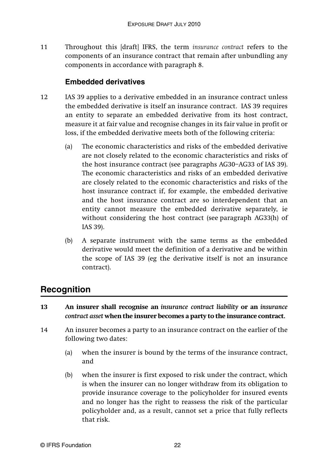11 Throughout this [draft] IFRS, the term *insurance contract* refers to the components of an insurance contract that remain after unbundling any components in accordance with paragraph 8.

### **Embedded derivatives**

- 12 IAS 39 applies to a derivative embedded in an insurance contract unless the embedded derivative is itself an insurance contract. IAS 39 requires an entity to separate an embedded derivative from its host contract, measure it at fair value and recognise changes in its fair value in profit or loss, if the embedded derivative meets both of the following criteria:
	- (a) The economic characteristics and risks of the embedded derivative are not closely related to the economic characteristics and risks of the host insurance contract (see paragraphs AG30–AG33 of IAS 39). The economic characteristics and risks of an embedded derivative are closely related to the economic characteristics and risks of the host insurance contract if, for example, the embedded derivative and the host insurance contract are so interdependent that an entity cannot measure the embedded derivative separately, ie without considering the host contract (see paragraph AG33(h) of IAS 39).
	- (b) A separate instrument with the same terms as the embedded derivative would meet the definition of a derivative and be within the scope of IAS 39 (eg the derivative itself is not an insurance contract).

# **Recognition**

- **13 An insurer shall recognise an** *insurance contract liability* **or an** *insurance contract asset* **when the insurer becomes a party to the insurance contract.**
- 14 An insurer becomes a party to an insurance contract on the earlier of the following two dates:
	- (a) when the insurer is bound by the terms of the insurance contract, and
	- (b) when the insurer is first exposed to risk under the contract, which is when the insurer can no longer withdraw from its obligation to provide insurance coverage to the policyholder for insured events and no longer has the right to reassess the risk of the particular policyholder and, as a result, cannot set a price that fully reflects that risk.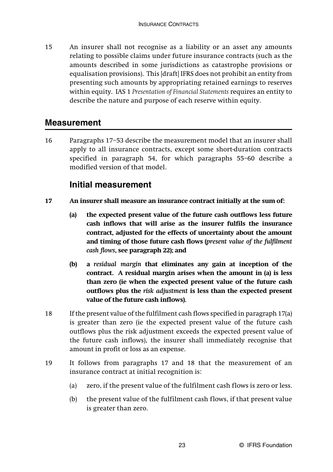15 An insurer shall not recognise as a liability or an asset any amounts relating to possible claims under future insurance contracts (such as the amounts described in some jurisdictions as catastrophe provisions or equalisation provisions). This [draft] IFRS does not prohibit an entity from presenting such amounts by appropriating retained earnings to reserves within equity. IAS 1 *Presentation of Financial Statements* requires an entity to describe the nature and purpose of each reserve within equity.

### **Measurement**

16 Paragraphs 17–53 describe the measurement model that an insurer shall apply to all insurance contracts, except some short-duration contracts specified in paragraph 54, for which paragraphs 55–60 describe a modified version of that model.

### **Initial measurement**

- **17 An insurer shall measure an insurance contract initially at the sum of:**
	- **(a) the expected present value of the future cash outflows less future cash inflows that will arise as the insurer fulfils the insurance contract, adjusted for the effects of uncertainty about the amount and timing of those future cash flows (***present value of the fulfilment cash flows***, see paragraph 22); and**
	- **(b) a** *residual margin* **that eliminates any gain at inception of the contract. A residual margin arises when the amount in (a) is less than zero (ie when the expected present value of the future cash outflows plus the** *risk adjustment* **is less than the expected present value of the future cash inflows).**
- 18 If the present value of the fulfilment cash flows specified in paragraph 17(a) is greater than zero (ie the expected present value of the future cash outflows plus the risk adjustment exceeds the expected present value of the future cash inflows), the insurer shall immediately recognise that amount in profit or loss as an expense.
- 19 It follows from paragraphs 17 and 18 that the measurement of an insurance contract at initial recognition is:
	- (a) zero, if the present value of the fulfilment cash flows is zero or less.
	- (b) the present value of the fulfilment cash flows, if that present value is greater than zero.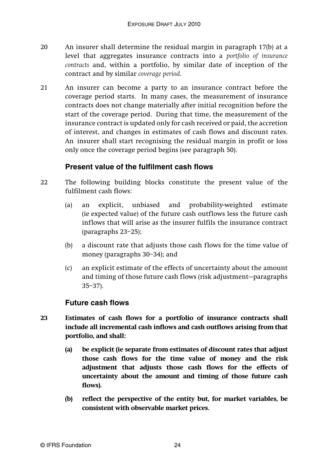- 20 An insurer shall determine the residual margin in paragraph 17(b) at a level that aggregates insurance contracts into a *portfolio of insurance contracts* and, within a portfolio, by similar date of inception of the contract and by similar *coverage period*.
- 21 An insurer can become a party to an insurance contract before the coverage period starts. In many cases, the measurement of insurance contracts does not change materially after initial recognition before the start of the coverage period. During that time, the measurement of the insurance contract is updated only for cash received or paid, the accretion of interest, and changes in estimates of cash flows and discount rates. An insurer shall start recognising the residual margin in profit or loss only once the coverage period begins (see paragraph 50).

### **Present value of the fulfilment cash flows**

- 22 The following building blocks constitute the present value of the fulfilment cash flows:
	- (a) an explicit, unbiased and probability-weighted estimate (ie expected value) of the future cash outflows less the future cash inflows that will arise as the insurer fulfils the insurance contract (paragraphs 23–25);
	- (b) a discount rate that adjusts those cash flows for the time value of money (paragraphs 30–34); and
	- (c) an explicit estimate of the effects of uncertainty about the amount and timing of those future cash flows (risk adjustment—paragraphs 35–37).

### **Future cash flows**

- **23 Estimates of cash flows for a portfolio of insurance contracts shall include all incremental cash inflows and cash outflows arising from that portfolio, and shall:**
	- **(a) be explicit (ie separate from estimates of discount rates that adjust those cash flows for the time value of money and the risk adjustment that adjusts those cash flows for the effects of uncertainty about the amount and timing of those future cash flows).**
	- **(b) reflect the perspective of the entity but, for market variables, be consistent with observable market prices.**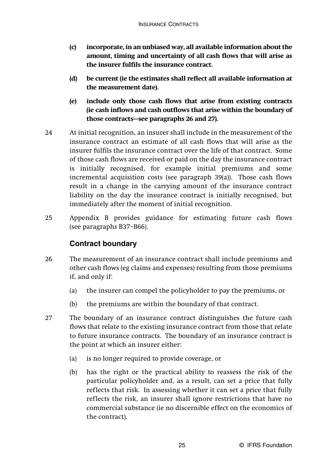- **(c) incorporate, in an unbiased way, all available information about the amount, timing and uncertainty of all cash flows that will arise as the insurer fulfils the insurance contract.**
- **(d) be current (ie the estimates shall reflect all available information at the measurement date).**
- **(e) include only those cash flows that arise from existing contracts (ie cash inflows and cash outflows that arise within the boundary of those contracts—see paragraphs 26 and 27).**
- 24 At initial recognition, an insurer shall include in the measurement of the insurance contract an estimate of all cash flows that will arise as the insurer fulfils the insurance contract over the life of that contract. Some of those cash flows are received or paid on the day the insurance contract is initially recognised, for example initial premiums and some incremental acquisition costs (see paragraph 39(a)). Those cash flows result in a change in the carrying amount of the insurance contract liability on the day the insurance contract is initially recognised, but immediately after the moment of initial recognition.
- 25 Appendix B provides guidance for estimating future cash flows (see paragraphs B37–B66).

### **Contract boundary**

- 26 The measurement of an insurance contract shall include premiums and other cash flows (eg claims and expenses) resulting from those premiums if, and only if:
	- (a) the insurer can compel the policyholder to pay the premiums, or
	- (b) the premiums are within the boundary of that contract.
- 27 The boundary of an insurance contract distinguishes the future cash flows that relate to the existing insurance contract from those that relate to future insurance contracts. The boundary of an insurance contract is the point at which an insurer either:
	- (a) is no longer required to provide coverage, or
	- (b) has the right or the practical ability to reassess the risk of the particular policyholder and, as a result, can set a price that fully reflects that risk. In assessing whether it can set a price that fully reflects the risk, an insurer shall ignore restrictions that have no commercial substance (ie no discernible effect on the economics of the contract).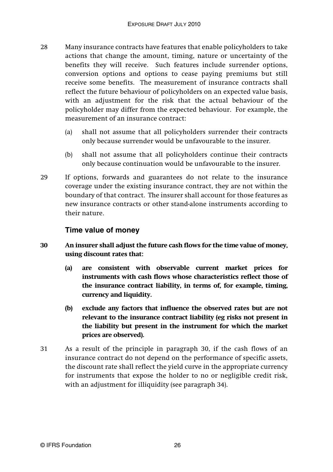- 28 Many insurance contracts have features that enable policyholders to take actions that change the amount, timing, nature or uncertainty of the benefits they will receive. Such features include surrender options, conversion options and options to cease paying premiums but still receive some benefits. The measurement of insurance contracts shall reflect the future behaviour of policyholders on an expected value basis, with an adjustment for the risk that the actual behaviour of the policyholder may differ from the expected behaviour. For example, the measurement of an insurance contract:
	- (a) shall not assume that all policyholders surrender their contracts only because surrender would be unfavourable to the insurer.
	- (b) shall not assume that all policyholders continue their contracts only because continuation would be unfavourable to the insurer.
- 29 If options, forwards and guarantees do not relate to the insurance coverage under the existing insurance contract, they are not within the boundary of that contract. The insurer shall account for those features as new insurance contracts or other stand-alone instruments according to their nature.

#### **Time value of money**

- **30 An insurer shall adjust the future cash flows for the time value of money, using discount rates that:**
	- **(a) are consistent with observable current market prices for instruments with cash flows whose characteristics reflect those of the insurance contract liability, in terms of, for example, timing, currency and liquidity.**
	- **(b) exclude any factors that influence the observed rates but are not relevant to the insurance contract liability (eg risks not present in the liability but present in the instrument for which the market prices are observed).**
- 31 As a result of the principle in paragraph 30, if the cash flows of an insurance contract do not depend on the performance of specific assets, the discount rate shall reflect the yield curve in the appropriate currency for instruments that expose the holder to no or negligible credit risk, with an adjustment for illiquidity (see paragraph 34).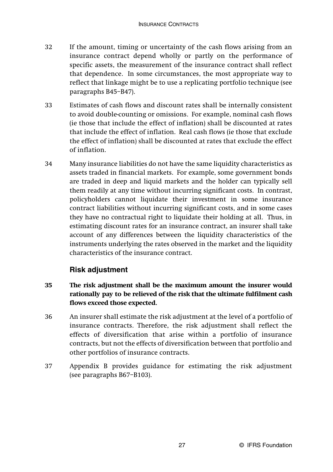- 32 If the amount, timing or uncertainty of the cash flows arising from an insurance contract depend wholly or partly on the performance of specific assets, the measurement of the insurance contract shall reflect that dependence. In some circumstances, the most appropriate way to reflect that linkage might be to use a replicating portfolio technique (see paragraphs B45–B47).
- 33 Estimates of cash flows and discount rates shall be internally consistent to avoid double-counting or omissions. For example, nominal cash flows (ie those that include the effect of inflation) shall be discounted at rates that include the effect of inflation. Real cash flows (ie those that exclude the effect of inflation) shall be discounted at rates that exclude the effect of inflation.
- 34 Many insurance liabilities do not have the same liquidity characteristics as assets traded in financial markets. For example, some government bonds are traded in deep and liquid markets and the holder can typically sell them readily at any time without incurring significant costs. In contrast, policyholders cannot liquidate their investment in some insurance contract liabilities without incurring significant costs, and in some cases they have no contractual right to liquidate their holding at all. Thus, in estimating discount rates for an insurance contract, an insurer shall take account of any differences between the liquidity characteristics of the instruments underlying the rates observed in the market and the liquidity characteristics of the insurance contract.

### **Risk adjustment**

- **35 The risk adjustment shall be the maximum amount the insurer would rationally pay to be relieved of the risk that the ultimate fulfilment cash flows exceed those expected.**
- 36 An insurer shall estimate the risk adjustment at the level of a portfolio of insurance contracts. Therefore, the risk adjustment shall reflect the effects of diversification that arise within a portfolio of insurance contracts, but not the effects of diversification between that portfolio and other portfolios of insurance contracts.
- 37 Appendix B provides guidance for estimating the risk adjustment (see paragraphs B67–B103).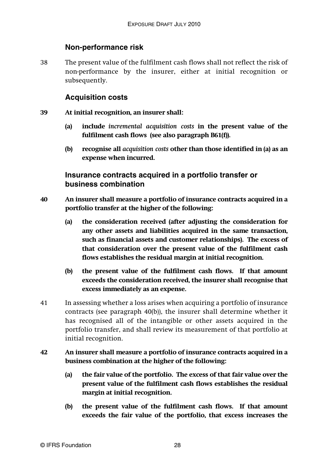### **Non-performance risk**

38 The present value of the fulfilment cash flows shall not reflect the risk of non-performance by the insurer, either at initial recognition or subsequently.

### **Acquisition costs**

- **39 At initial recognition, an insurer shall:**
	- **(a) include** *incremental acquisition costs* **in the present value of the fulfilment cash flows (see also paragraph B61(f)).**
	- **(b) recognise all** *acquisition costs* **other than those identified in (a) as an expense when incurred.**

### **Insurance contracts acquired in a portfolio transfer or business combination**

- **40 An insurer shall measure a portfolio of insurance contracts acquired in a portfolio transfer at the higher of the following:**
	- **(a) the consideration received (after adjusting the consideration for any other assets and liabilities acquired in the same transaction, such as financial assets and customer relationships). The excess of that consideration over the present value of the fulfilment cash flows establishes the residual margin at initial recognition.**
	- **(b) the present value of the fulfilment cash flows. If that amount exceeds the consideration received, the insurer shall recognise that excess immediately as an expense.**
- 41 In assessing whether a loss arises when acquiring a portfolio of insurance contracts (see paragraph 40(b)), the insurer shall determine whether it has recognised all of the intangible or other assets acquired in the portfolio transfer, and shall review its measurement of that portfolio at initial recognition.
- **42 An insurer shall measure a portfolio of insurance contracts acquired in a business combination at the higher of the following:**
	- **(a) the fair value of the portfolio. The excess of that fair value over the present value of the fulfilment cash flows establishes the residual margin at initial recognition.**
	- **(b) the present value of the fulfilment cash flows. If that amount exceeds the fair value of the portfolio, that excess increases the**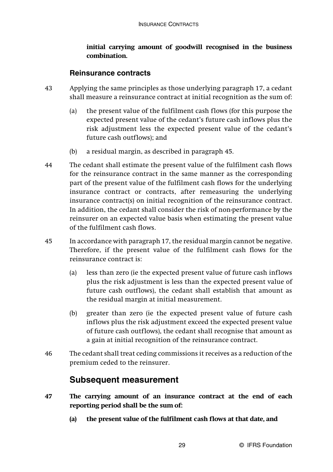#### **initial carrying amount of goodwill recognised in the business combination.**

#### **Reinsurance contracts**

- 43 Applying the same principles as those underlying paragraph 17, a cedant shall measure a reinsurance contract at initial recognition as the sum of:
	- (a) the present value of the fulfilment cash flows (for this purpose the expected present value of the cedant's future cash inflows plus the risk adjustment less the expected present value of the cedant's future cash outflows); and
	- (b) a residual margin, as described in paragraph 45.
- 44 The cedant shall estimate the present value of the fulfilment cash flows for the reinsurance contract in the same manner as the corresponding part of the present value of the fulfilment cash flows for the underlying insurance contract or contracts, after remeasuring the underlying insurance contract(s) on initial recognition of the reinsurance contract. In addition, the cedant shall consider the risk of non-performance by the reinsurer on an expected value basis when estimating the present value of the fulfilment cash flows.
- 45 In accordance with paragraph 17, the residual margin cannot be negative. Therefore, if the present value of the fulfilment cash flows for the reinsurance contract is:
	- (a) less than zero (ie the expected present value of future cash inflows plus the risk adjustment is less than the expected present value of future cash outflows), the cedant shall establish that amount as the residual margin at initial measurement.
	- (b) greater than zero (ie the expected present value of future cash inflows plus the risk adjustment exceed the expected present value of future cash outflows), the cedant shall recognise that amount as a gain at initial recognition of the reinsurance contract.
- 46 The cedant shall treat ceding commissions it receives as a reduction of the premium ceded to the reinsurer.

## **Subsequent measurement**

- **47 The carrying amount of an insurance contract at the end of each reporting period shall be the sum of:**
	- **(a) the present value of the fulfilment cash flows at that date, and**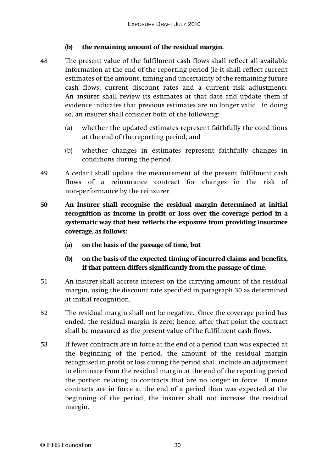#### **(b) the remaining amount of the residual margin.**

- 48 The present value of the fulfilment cash flows shall reflect all available information at the end of the reporting period (ie it shall reflect current estimates of the amount, timing and uncertainty of the remaining future cash flows, current discount rates and a current risk adjustment). An insurer shall review its estimates at that date and update them if evidence indicates that previous estimates are no longer valid. In doing so, an insurer shall consider both of the following:
	- (a) whether the updated estimates represent faithfully the conditions at the end of the reporting period, and
	- (b) whether changes in estimates represent faithfully changes in conditions during the period.
- 49 A cedant shall update the measurement of the present fulfilment cash flows of a reinsurance contract for changes in the risk of non-performance by the reinsurer.
- **50 An insurer shall recognise the residual margin determined at initial recognition as income in profit or loss over the coverage period in a systematic way that best reflects the exposure from providing insurance coverage, as follows:**
	- **(a) on the basis of the passage of time, but**
	- **(b) on the basis of the expected timing of incurred claims and benefits, if that pattern differs significantly from the passage of time.**
- 51 An insurer shall accrete interest on the carrying amount of the residual margin, using the discount rate specified in paragraph 30 as determined at initial recognition.
- 52 The residual margin shall not be negative. Once the coverage period has ended, the residual margin is zero; hence, after that point the contract shall be measured as the present value of the fulfilment cash flows.
- 53 If fewer contracts are in force at the end of a period than was expected at the beginning of the period, the amount of the residual margin recognised in profit or loss during the period shall include an adjustment to eliminate from the residual margin at the end of the reporting period the portion relating to contracts that are no longer in force. If more contracts are in force at the end of a period than was expected at the beginning of the period, the insurer shall not increase the residual margin.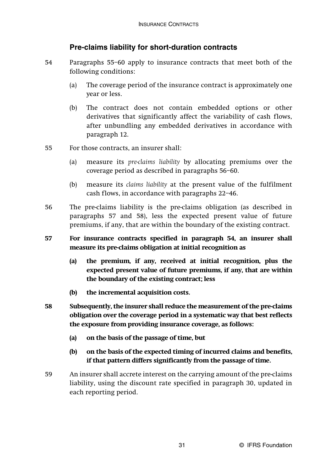### **Pre-claims liability for short-duration contracts**

- 54 Paragraphs 55–60 apply to insurance contracts that meet both of the following conditions:
	- (a) The coverage period of the insurance contract is approximately one year or less.
	- (b) The contract does not contain embedded options or other derivatives that significantly affect the variability of cash flows, after unbundling any embedded derivatives in accordance with paragraph 12.
- 55 For those contracts, an insurer shall:
	- (a) measure its *pre-claims liability* by allocating premiums over the coverage period as described in paragraphs 56–60.
	- (b) measure its *claims liability* at the present value of the fulfilment cash flows, in accordance with paragraphs 22–46.
- 56 The pre-claims liability is the pre-claims obligation (as described in paragraphs 57 and 58), less the expected present value of future premiums, if any, that are within the boundary of the existing contract.
- **57 For insurance contracts specified in paragraph 54, an insurer shall measure its pre-claims obligation at initial recognition as**
	- **(a) the premium, if any, received at initial recognition, plus the expected present value of future premiums, if any, that are within the boundary of the existing contract; less**
	- **(b) the incremental acquisition costs.**
- **58 Subsequently, the insurer shall reduce the measurement of the pre-claims obligation over the coverage period in a systematic way that best reflects the exposure from providing insurance coverage, as follows:**
	- **(a) on the basis of the passage of time, but**
	- **(b) on the basis of the expected timing of incurred claims and benefits, if that pattern differs significantly from the passage of time.**
- 59 An insurer shall accrete interest on the carrying amount of the pre-claims liability, using the discount rate specified in paragraph 30, updated in each reporting period.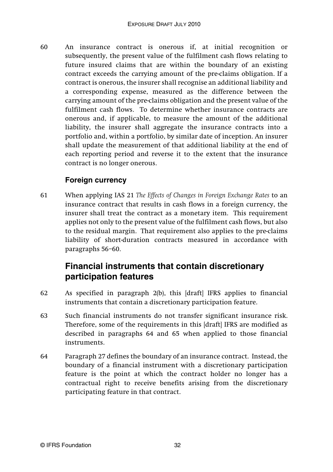60 An insurance contract is onerous if, at initial recognition or subsequently, the present value of the fulfilment cash flows relating to future insured claims that are within the boundary of an existing contract exceeds the carrying amount of the pre-claims obligation. If a contract is onerous, the insurer shall recognise an additional liability and a corresponding expense, measured as the difference between the carrying amount of the pre-claims obligation and the present value of the fulfilment cash flows. To determine whether insurance contracts are onerous and, if applicable, to measure the amount of the additional liability, the insurer shall aggregate the insurance contracts into a portfolio and, within a portfolio, by similar date of inception. An insurer shall update the measurement of that additional liability at the end of each reporting period and reverse it to the extent that the insurance contract is no longer onerous.

### **Foreign currency**

61 When applying IAS 21 *The Effects of Changes in Foreign Exchange Rates* to an insurance contract that results in cash flows in a foreign currency, the insurer shall treat the contract as a monetary item. This requirement applies not only to the present value of the fulfilment cash flows, but also to the residual margin. That requirement also applies to the pre-claims liability of short-duration contracts measured in accordance with paragraphs 56–60.

## **Financial instruments that contain discretionary participation features**

- 62 As specified in paragraph 2(b), this [draft] IFRS applies to financial instruments that contain a discretionary participation feature.
- 63 Such financial instruments do not transfer significant insurance risk. Therefore, some of the requirements in this [draft] IFRS are modified as described in paragraphs 64 and 65 when applied to those financial instruments.
- 64 Paragraph 27 defines the boundary of an insurance contract. Instead, the boundary of a financial instrument with a discretionary participation feature is the point at which the contract holder no longer has a contractual right to receive benefits arising from the discretionary participating feature in that contract.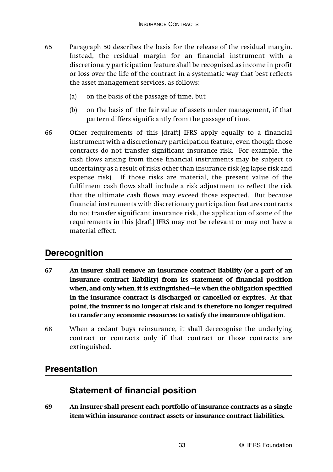- 65 Paragraph 50 describes the basis for the release of the residual margin. Instead, the residual margin for an financial instrument with a discretionary participation feature shall be recognised as income in profit or loss over the life of the contract in a systematic way that best reflects the asset management services, as follows:
	- (a) on the basis of the passage of time, but
	- (b) on the basis of the fair value of assets under management, if that pattern differs significantly from the passage of time.
- 66 Other requirements of this [draft] IFRS apply equally to a financial instrument with a discretionary participation feature, even though those contracts do not transfer significant insurance risk. For example, the cash flows arising from those financial instruments may be subject to uncertainty as a result of risks other than insurance risk (eg lapse risk and expense risk). If those risks are material, the present value of the fulfilment cash flows shall include a risk adjustment to reflect the risk that the ultimate cash flows may exceed those expected. But because financial instruments with discretionary participation features contracts do not transfer significant insurance risk, the application of some of the requirements in this [draft] IFRS may not be relevant or may not have a material effect.

### **Derecognition**

- **67 An insurer shall remove an insurance contract liability (or a part of an insurance contract liability) from its statement of financial position when, and only when, it is extinguished—ie when the obligation specified in the insurance contract is discharged or cancelled or expires. At that point, the insurer is no longer at risk and is therefore no longer required to transfer any economic resources to satisfy the insurance obligation.**
- 68 When a cedant buys reinsurance, it shall derecognise the underlying contract or contracts only if that contract or those contracts are extinguished.

### **Presentation**

## **Statement of financial position**

**69 An insurer shall present each portfolio of insurance contracts as a single item within insurance contract assets or insurance contract liabilities.**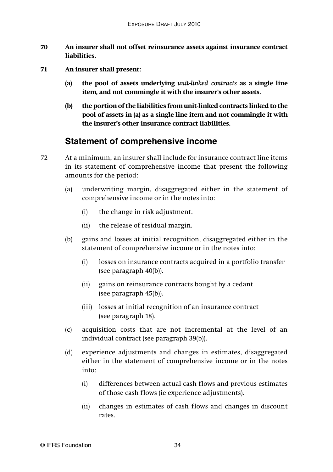- **70 An insurer shall not offset reinsurance assets against insurance contract liabilities.**
- **71 An insurer shall present:**
	- **(a) the pool of assets underlying** *unit-linked contracts* **as a single line item, and not commingle it with the insurer's other assets.**
	- **(b) the portion of the liabilities from unit-linked contracts linked to the pool of assets in (a) as a single line item and not commingle it with the insurer's other insurance contract liabilities.**

### **Statement of comprehensive income**

- 72 At a minimum, an insurer shall include for insurance contract line items in its statement of comprehensive income that present the following amounts for the period:
	- (a) underwriting margin, disaggregated either in the statement of comprehensive income or in the notes into:
		- (i) the change in risk adjustment.
		- (ii) the release of residual margin.
	- (b) gains and losses at initial recognition, disaggregated either in the statement of comprehensive income or in the notes into:
		- (i) losses on insurance contracts acquired in a portfolio transfer (see paragraph 40(b)).
		- (ii) gains on reinsurance contracts bought by a cedant (see paragraph 45(b)).
		- (iii) losses at initial recognition of an insurance contract (see paragraph 18).
	- (c) acquisition costs that are not incremental at the level of an individual contract (see paragraph 39(b)).
	- (d) experience adjustments and changes in estimates, disaggregated either in the statement of comprehensive income or in the notes into:
		- (i) differences between actual cash flows and previous estimates of those cash flows (ie experience adjustments).
		- (ii) changes in estimates of cash flows and changes in discount rates.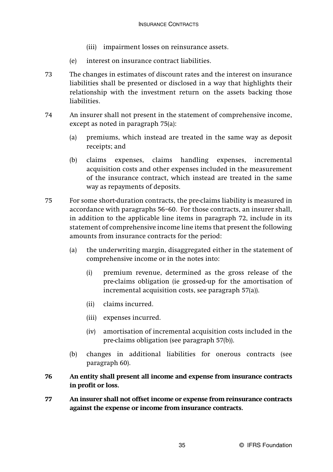- (iii) impairment losses on reinsurance assets.
- (e) interest on insurance contract liabilities.
- 73 The changes in estimates of discount rates and the interest on insurance liabilities shall be presented or disclosed in a way that highlights their relationship with the investment return on the assets backing those liabilities.
- 74 An insurer shall not present in the statement of comprehensive income, except as noted in paragraph 75(a):
	- (a) premiums, which instead are treated in the same way as deposit receipts; and
	- (b) claims expenses, claims handling expenses, incremental acquisition costs and other expenses included in the measurement of the insurance contract, which instead are treated in the same way as repayments of deposits.
- 75 For some short-duration contracts, the pre-claims liability is measured in accordance with paragraphs 56–60. For those contracts, an insurer shall, in addition to the applicable line items in paragraph 72, include in its statement of comprehensive income line items that present the following amounts from insurance contracts for the period:
	- (a) the underwriting margin, disaggregated either in the statement of comprehensive income or in the notes into:
		- (i) premium revenue, determined as the gross release of the pre-claims obligation (ie grossed-up for the amortisation of incremental acquisition costs, see paragraph 57(a)).
		- (ii) claims incurred.
		- (iii) expenses incurred.
		- (iv) amortisation of incremental acquisition costs included in the pre-claims obligation (see paragraph 57(b)).
	- (b) changes in additional liabilities for onerous contracts (see paragraph 60).
- **76 An entity shall present all income and expense from insurance contracts in profit or loss.**
- **77 An insurer shall not offset income or expense from reinsurance contracts against the expense or income from insurance contracts.**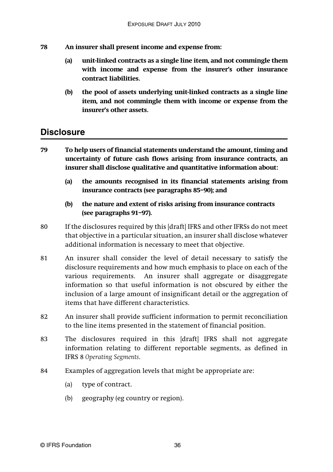- **78 An insurer shall present income and expense from:**
	- **(a) unit-linked contracts as a single line item, and not commingle them with income and expense from the insurer's other insurance contract liabilities.**
	- **(b) the pool of assets underlying unit-linked contracts as a single line item, and not commingle them with income or expense from the insurer's other assets.**

### **Disclosure**

- **79 To help users of financial statements understand the amount, timing and uncertainty of future cash flows arising from insurance contracts, an insurer shall disclose qualitative and quantitative information about:**
	- **(a) the amounts recognised in its financial statements arising from insurance contracts (see paragraphs 85–90); and**
	- **(b) the nature and extent of risks arising from insurance contracts (see paragraphs 91–97).**
- 80 If the disclosures required by this [draft] IFRS and other IFRSs do not meet that objective in a particular situation, an insurer shall disclose whatever additional information is necessary to meet that objective.
- 81 An insurer shall consider the level of detail necessary to satisfy the disclosure requirements and how much emphasis to place on each of the various requirements. An insurer shall aggregate or disaggregate information so that useful information is not obscured by either the inclusion of a large amount of insignificant detail or the aggregation of items that have different characteristics.
- 82 An insurer shall provide sufficient information to permit reconciliation to the line items presented in the statement of financial position.
- 83 The disclosures required in this [draft] IFRS shall not aggregate information relating to different reportable segments, as defined in IFRS 8 *Operating Segments*.
- 84 Examples of aggregation levels that might be appropriate are:
	- (a) type of contract.
	- (b) geography (eg country or region).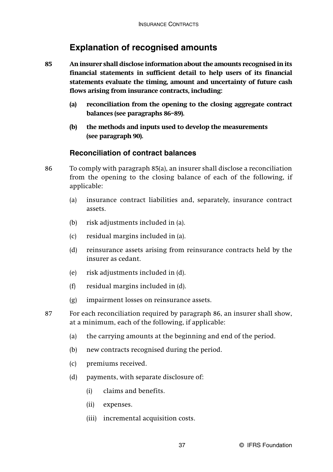### **Explanation of recognised amounts**

- **85 An insurer shall disclose information about the amounts recognised in its financial statements in sufficient detail to help users of its financial statements evaluate the timing, amount and uncertainty of future cash flows arising from insurance contracts, including:**
	- **(a) reconciliation from the opening to the closing aggregate contract balances (see paragraphs 86–89).**
	- **(b) the methods and inputs used to develop the measurements (see paragraph 90).**

### **Reconciliation of contract balances**

- 86 To comply with paragraph 85(a), an insurer shall disclose a reconciliation from the opening to the closing balance of each of the following, if applicable:
	- (a) insurance contract liabilities and, separately, insurance contract assets.
	- (b) risk adjustments included in (a).
	- (c) residual margins included in (a).
	- (d) reinsurance assets arising from reinsurance contracts held by the insurer as cedant.
	- (e) risk adjustments included in (d).
	- (f) residual margins included in (d).
	- (g) impairment losses on reinsurance assets.
- 87 For each reconciliation required by paragraph 86, an insurer shall show, at a minimum, each of the following, if applicable:
	- (a) the carrying amounts at the beginning and end of the period.
	- (b) new contracts recognised during the period.
	- (c) premiums received.
	- (d) payments, with separate disclosure of:
		- (i) claims and benefits.
		- (ii) expenses.
		- (iii) incremental acquisition costs.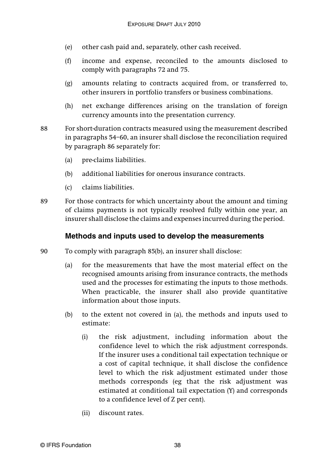- (e) other cash paid and, separately, other cash received.
- (f) income and expense, reconciled to the amounts disclosed to comply with paragraphs 72 and 75.
- (g) amounts relating to contracts acquired from, or transferred to, other insurers in portfolio transfers or business combinations.
- (h) net exchange differences arising on the translation of foreign currency amounts into the presentation currency.
- 88 For short-duration contracts measured using the measurement described in paragraphs 54–60, an insurer shall disclose the reconciliation required by paragraph 86 separately for:
	- (a) pre-claims liabilities.
	- (b) additional liabilities for onerous insurance contracts.
	- (c) claims liabilities.
- 89 For those contracts for which uncertainty about the amount and timing of claims payments is not typically resolved fully within one year, an insurer shall disclose the claims and expenses incurred during the period.

### **Methods and inputs used to develop the measurements**

- 90 To comply with paragraph 85(b), an insurer shall disclose:
	- (a) for the measurements that have the most material effect on the recognised amounts arising from insurance contracts, the methods used and the processes for estimating the inputs to those methods. When practicable, the insurer shall also provide quantitative information about those inputs.
	- (b) to the extent not covered in (a), the methods and inputs used to estimate:
		- (i) the risk adjustment, including information about the confidence level to which the risk adjustment corresponds. If the insurer uses a conditional tail expectation technique or a cost of capital technique, it shall disclose the confidence level to which the risk adjustment estimated under those methods corresponds (eg that the risk adjustment was estimated at conditional tail expectation (Y) and corresponds to a confidence level of Z per cent).
		- (ii) discount rates.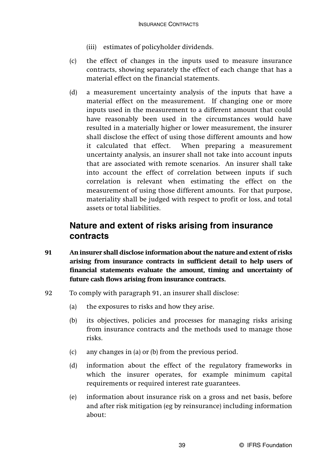- (iii) estimates of policyholder dividends.
- (c) the effect of changes in the inputs used to measure insurance contracts, showing separately the effect of each change that has a material effect on the financial statements.
- (d) a measurement uncertainty analysis of the inputs that have a material effect on the measurement. If changing one or more inputs used in the measurement to a different amount that could have reasonably been used in the circumstances would have resulted in a materially higher or lower measurement, the insurer shall disclose the effect of using those different amounts and how it calculated that effect. When preparing a measurement uncertainty analysis, an insurer shall not take into account inputs that are associated with remote scenarios. An insurer shall take into account the effect of correlation between inputs if such correlation is relevant when estimating the effect on the measurement of using those different amounts. For that purpose, materiality shall be judged with respect to profit or loss, and total assets or total liabilities.

# **Nature and extent of risks arising from insurance contracts**

- **91 An insurer shall disclose information about the nature and extent of risks arising from insurance contracts in sufficient detail to help users of financial statements evaluate the amount, timing and uncertainty of future cash flows arising from insurance contracts.**
- 92 To comply with paragraph 91, an insurer shall disclose:
	- (a) the exposures to risks and how they arise.
	- (b) its objectives, policies and processes for managing risks arising from insurance contracts and the methods used to manage those risks.
	- (c) any changes in (a) or (b) from the previous period.
	- (d) information about the effect of the regulatory frameworks in which the insurer operates, for example minimum capital requirements or required interest rate guarantees.
	- (e) information about insurance risk on a gross and net basis, before and after risk mitigation (eg by reinsurance) including information about: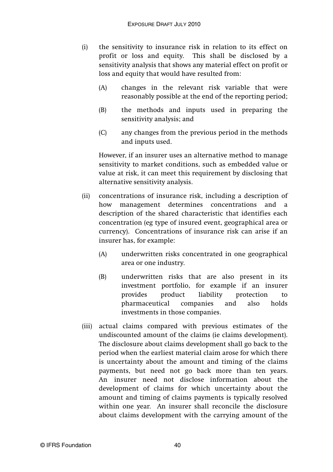- (i) the sensitivity to insurance risk in relation to its effect on profit or loss and equity. This shall be disclosed by a sensitivity analysis that shows any material effect on profit or loss and equity that would have resulted from:
	- (A) changes in the relevant risk variable that were reasonably possible at the end of the reporting period;
	- (B) the methods and inputs used in preparing the sensitivity analysis; and
	- (C) any changes from the previous period in the methods and inputs used.

However, if an insurer uses an alternative method to manage sensitivity to market conditions, such as embedded value or value at risk, it can meet this requirement by disclosing that alternative sensitivity analysis.

- (ii) concentrations of insurance risk, including a description of how management determines concentrations and a description of the shared characteristic that identifies each concentration (eg type of insured event, geographical area or currency). Concentrations of insurance risk can arise if an insurer has, for example:
	- (A) underwritten risks concentrated in one geographical area or one industry.
	- (B) underwritten risks that are also present in its investment portfolio, for example if an insurer provides product liability protection to pharmaceutical companies and also holds investments in those companies.
- (iii) actual claims compared with previous estimates of the undiscounted amount of the claims (ie claims development). The disclosure about claims development shall go back to the period when the earliest material claim arose for which there is uncertainty about the amount and timing of the claims payments, but need not go back more than ten years. An insurer need not disclose information about the development of claims for which uncertainty about the amount and timing of claims payments is typically resolved within one year. An insurer shall reconcile the disclosure about claims development with the carrying amount of the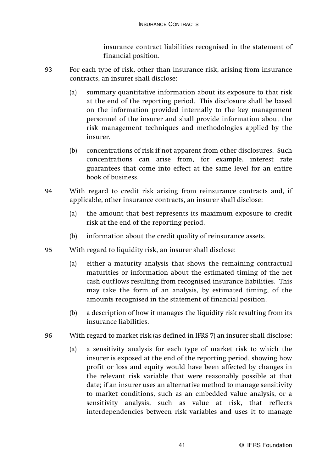insurance contract liabilities recognised in the statement of financial position.

- 93 For each type of risk, other than insurance risk, arising from insurance contracts, an insurer shall disclose:
	- (a) summary quantitative information about its exposure to that risk at the end of the reporting period. This disclosure shall be based on the information provided internally to the key management personnel of the insurer and shall provide information about the risk management techniques and methodologies applied by the insurer.
	- (b) concentrations of risk if not apparent from other disclosures. Such concentrations can arise from, for example, interest rate guarantees that come into effect at the same level for an entire book of business.
- 94 With regard to credit risk arising from reinsurance contracts and, if applicable, other insurance contracts, an insurer shall disclose:
	- (a) the amount that best represents its maximum exposure to credit risk at the end of the reporting period.
	- (b) information about the credit quality of reinsurance assets.
- 95 With regard to liquidity risk, an insurer shall disclose:
	- (a) either a maturity analysis that shows the remaining contractual maturities or information about the estimated timing of the net cash outflows resulting from recognised insurance liabilities. This may take the form of an analysis, by estimated timing, of the amounts recognised in the statement of financial position.
	- (b) a description of how it manages the liquidity risk resulting from its insurance liabilities.
- 96 With regard to market risk (as defined in IFRS 7) an insurer shall disclose:
	- (a) a sensitivity analysis for each type of market risk to which the insurer is exposed at the end of the reporting period, showing how profit or loss and equity would have been affected by changes in the relevant risk variable that were reasonably possible at that date; if an insurer uses an alternative method to manage sensitivity to market conditions, such as an embedded value analysis, or a sensitivity analysis, such as value at risk, that reflects interdependencies between risk variables and uses it to manage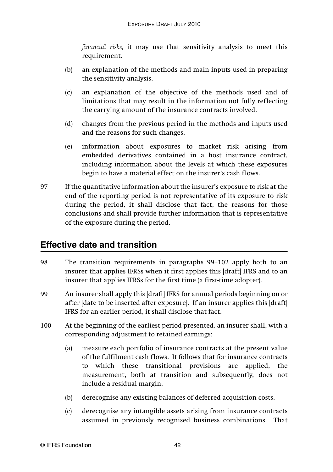*financial risks,* it may use that sensitivity analysis to meet this requirement.

- (b) an explanation of the methods and main inputs used in preparing the sensitivity analysis.
- (c) an explanation of the objective of the methods used and of limitations that may result in the information not fully reflecting the carrying amount of the insurance contracts involved.
- (d) changes from the previous period in the methods and inputs used and the reasons for such changes.
- (e) information about exposures to market risk arising from embedded derivatives contained in a host insurance contract, including information about the levels at which these exposures begin to have a material effect on the insurer's cash flows.
- 97 If the quantitative information about the insurer's exposure to risk at the end of the reporting period is not representative of its exposure to risk during the period, it shall disclose that fact, the reasons for those conclusions and shall provide further information that is representative of the exposure during the period.

# **Effective date and transition**

- 98 The transition requirements in paragraphs 99–102 apply both to an insurer that applies IFRSs when it first applies this [draft] IFRS and to an insurer that applies IFRSs for the first time (a first-time adopter).
- 99 An insurer shall apply this [draft] IFRS for annual periods beginning on or after [date to be inserted after exposure]. If an insurer applies this [draft] IFRS for an earlier period, it shall disclose that fact.
- 100 At the beginning of the earliest period presented, an insurer shall, with a corresponding adjustment to retained earnings:
	- (a) measure each portfolio of insurance contracts at the present value of the fulfilment cash flows. It follows that for insurance contracts to which these transitional provisions are applied, the measurement, both at transition and subsequently, does not include a residual margin.
	- (b) derecognise any existing balances of deferred acquisition costs.
	- (c) derecognise any intangible assets arising from insurance contracts assumed in previously recognised business combinations. That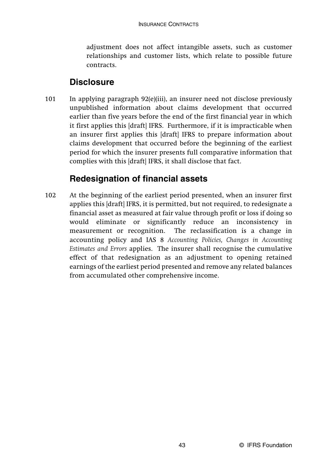adjustment does not affect intangible assets, such as customer relationships and customer lists, which relate to possible future contracts.

# **Disclosure**

101 In applying paragraph 92(e)(iii), an insurer need not disclose previously unpublished information about claims development that occurred earlier than five years before the end of the first financial year in which it first applies this [draft] IFRS. Furthermore, if it is impracticable when an insurer first applies this [draft] IFRS to prepare information about claims development that occurred before the beginning of the earliest period for which the insurer presents full comparative information that complies with this [draft] IFRS, it shall disclose that fact.

# **Redesignation of financial assets**

102 At the beginning of the earliest period presented, when an insurer first applies this [draft] IFRS, it is permitted, but not required, to redesignate a financial asset as measured at fair value through profit or loss if doing so would eliminate or significantly reduce an inconsistency in measurement or recognition. The reclassification is a change in accounting policy and IAS 8 *Accounting Policies, Changes in Accounting Estimates and Errors* applies. The insurer shall recognise the cumulative effect of that redesignation as an adjustment to opening retained earnings of the earliest period presented and remove any related balances from accumulated other comprehensive income.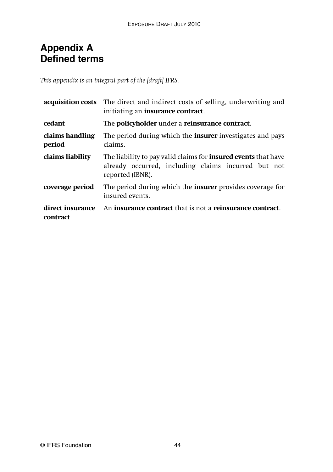# **Appendix A Defined terms**

*This appendix is an integral part of the [draft] IFRS.*

| acquisition costs            | The direct and indirect costs of selling, underwriting and<br>initiating an <b>insurance contract</b> .                                          |
|------------------------------|--------------------------------------------------------------------------------------------------------------------------------------------------|
| cedant                       | The <b>policyholder</b> under a <b>reinsurance contract</b> .                                                                                    |
| claims handling<br>period    | The period during which the <b>insurer</b> investigates and pays<br>claims.                                                                      |
| claims liability             | The liability to pay valid claims for <b>insured events</b> that have<br>already occurred, including claims incurred but not<br>reported (IBNR). |
| coverage period              | The period during which the <b>insurer</b> provides coverage for<br>insured events.                                                              |
| direct insurance<br>contract | An <b>insurance contract</b> that is not a <b>reinsurance contract</b> .                                                                         |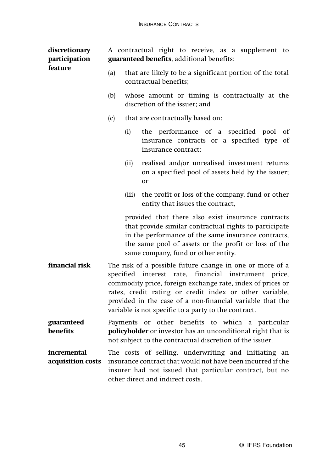| discretionary<br>participation<br>feature |     | A contractual right to receive, as a supplement to<br>guaranteed benefits, additional benefits:                                                                                                                                                                                                        |  |  |
|-------------------------------------------|-----|--------------------------------------------------------------------------------------------------------------------------------------------------------------------------------------------------------------------------------------------------------------------------------------------------------|--|--|
|                                           | (a) | that are likely to be a significant portion of the total<br>contractual benefits;                                                                                                                                                                                                                      |  |  |
|                                           | (b) | whose amount or timing is contractually at the<br>discretion of the issuer; and                                                                                                                                                                                                                        |  |  |
|                                           | (c) | that are contractually based on:                                                                                                                                                                                                                                                                       |  |  |
|                                           |     | the performance of a specified pool<br>of<br>(i)<br>insurance contracts or a specified type of<br>insurance contract;                                                                                                                                                                                  |  |  |
|                                           |     | realised and/or unrealised investment returns<br>(ii)<br>on a specified pool of assets held by the issuer;<br>or                                                                                                                                                                                       |  |  |
|                                           |     | the profit or loss of the company, fund or other<br>(iii)<br>entity that issues the contract,                                                                                                                                                                                                          |  |  |
|                                           |     | provided that there also exist insurance contracts<br>that provide similar contractual rights to participate<br>in the performance of the same insurance contracts,<br>the same pool of assets or the profit or loss of the<br>same company, fund or other entity.                                     |  |  |
| financial risk                            |     | The risk of a possible future change in one or more of a<br>specified interest rate, financial instrument price,<br>commodity price, foreign exchange rate, index of prices or<br>rates, credit rating or credit index or other variable,<br>provided in the case of a non-financial variable that the |  |  |

**guaranteed benefits** Payments or other benefits to which a particular **policyholder** or investor has an unconditional right that is not subject to the contractual discretion of the issuer.

variable is not specific to a party to the contract.

**incremental acquisition costs** The costs of selling, underwriting and initiating an insurance contract that would not have been incurred if the insurer had not issued that particular contract, but no other direct and indirect costs.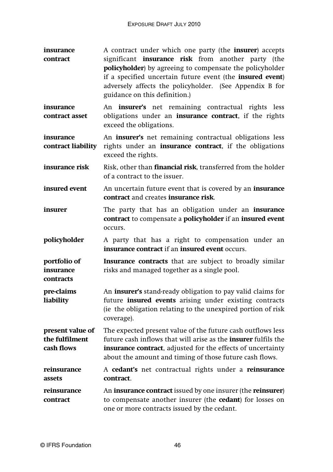**insurance contract** A contract under which one party (the **insurer**) accepts significant **insurance risk** from another party (the **policyholder**) by agreeing to compensate the policyholder if a specified uncertain future event (the **insured event**) adversely affects the policyholder. (See Appendix B for guidance on this definition.)

**insurance contract asset** An **insurer's** net remaining contractual rights less obligations under an **insurance contract**, if the rights exceed the obligations.

**insurance contract liability** An **insurer's** net remaining contractual obligations less rights under an **insurance contract**, if the obligations exceed the rights.

- **insurance risk** Risk, other than **financial risk**, transferred from the holder of a contract to the issuer.
- **insured event** An uncertain future event that is covered by an **insurance contract** and creates **insurance risk**.
- **insurer** The party that has an obligation under an **insurance contract** to compensate a **policyholder** if an **insured event** occurs.
- **policyholder** A party that has a right to compensation under an **insurance contract** if an **insured event** occurs.

**portfolio of insurance Insurance contracts** that are subject to broadly similar risks and managed together as a single pool.

**pre-claims liability** An **insurer's** stand-ready obligation to pay valid claims for future **insured events** arising under existing contracts (ie the obligation relating to the unexpired portion of risk coverage).

**present value of the fulfilment cash flows** The expected present value of the future cash outflows less future cash inflows that will arise as the **insurer** fulfils the **insurance contract**, adjusted for the effects of uncertainty about the amount and timing of those future cash flows.

**reinsurance assets** A **cedant's** net contractual rights under a **reinsurance contract**.

**reinsurance contract** An **insurance contract** issued by one insurer (the **reinsurer**) to compensate another insurer (the **cedant**) for losses on one or more contracts issued by the cedant.

**contracts**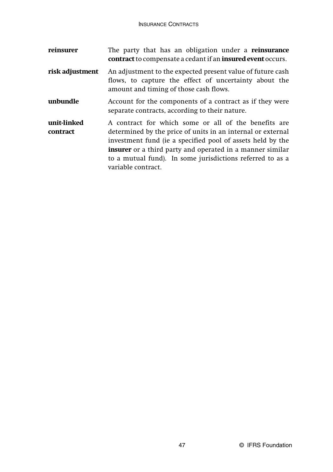| reinsurer               | The party that has an obligation under a <b>reinsurance</b><br><b>contract</b> to compensate a cedant if an <b>insured event</b> occurs.                                                                                                                                                                                                 |
|-------------------------|------------------------------------------------------------------------------------------------------------------------------------------------------------------------------------------------------------------------------------------------------------------------------------------------------------------------------------------|
| risk adjustment         | An adjustment to the expected present value of future cash<br>flows, to capture the effect of uncertainty about the<br>amount and timing of those cash flows.                                                                                                                                                                            |
| unbundle                | Account for the components of a contract as if they were<br>separate contracts, according to their nature.                                                                                                                                                                                                                               |
| unit-linked<br>contract | A contract for which some or all of the benefits are<br>determined by the price of units in an internal or external<br>investment fund (ie a specified pool of assets held by the<br><b>insurer</b> or a third party and operated in a manner similar<br>to a mutual fund). In some jurisdictions referred to as a<br>variable contract. |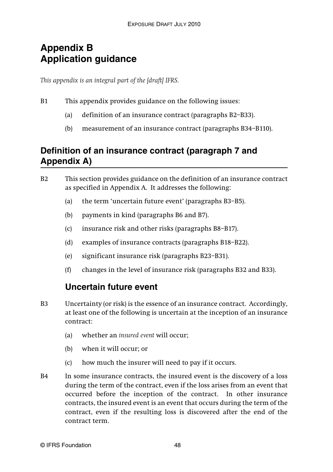# **Appendix B Application guidance**

*This appendix is an integral part of the [draft] IFRS.*

- B1 This appendix provides guidance on the following issues:
	- (a) definition of an insurance contract (paragraphs B2–B33).
	- (b) measurement of an insurance contract (paragraphs B34–B110).

# **Definition of an insurance contract (paragraph 7 and Appendix A)**

- B2 This section provides guidance on the definition of an insurance contract as specified in Appendix A. It addresses the following:
	- (a) the term 'uncertain future event' (paragraphs B3–B5).
	- (b) payments in kind (paragraphs B6 and B7).
	- (c) insurance risk and other risks (paragraphs B8–B17).
	- (d) examples of insurance contracts (paragraphs B18–B22).
	- (e) significant insurance risk (paragraphs B23–B31).
	- (f) changes in the level of insurance risk (paragraphs B32 and B33).

# **Uncertain future event**

- B3 Uncertainty (or risk) is the essence of an insurance contract. Accordingly, at least one of the following is uncertain at the inception of an insurance contract:
	- (a) whether an *insured event* will occur;
	- (b) when it will occur; or
	- (c) how much the insurer will need to pay if it occurs.
- B4 In some insurance contracts, the insured event is the discovery of a loss during the term of the contract, even if the loss arises from an event that occurred before the inception of the contract. In other insurance contracts, the insured event is an event that occurs during the term of the contract, even if the resulting loss is discovered after the end of the contract term.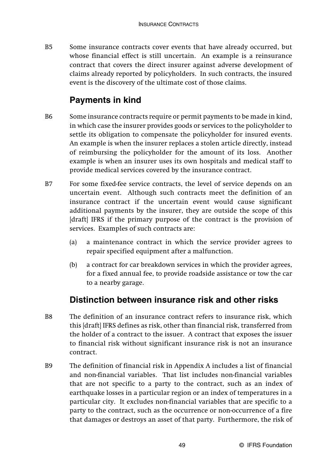B5 Some insurance contracts cover events that have already occurred, but whose financial effect is still uncertain. An example is a reinsurance contract that covers the direct insurer against adverse development of claims already reported by policyholders. In such contracts, the insured event is the discovery of the ultimate cost of those claims.

# **Payments in kind**

- B6 Some insurance contracts require or permit payments to be made in kind, in which case the insurer provides goods or services to the policyholder to settle its obligation to compensate the policyholder for insured events. An example is when the insurer replaces a stolen article directly, instead of reimbursing the policyholder for the amount of its loss. Another example is when an insurer uses its own hospitals and medical staff to provide medical services covered by the insurance contract.
- B7 For some fixed-fee service contracts, the level of service depends on an uncertain event. Although such contracts meet the definition of an insurance contract if the uncertain event would cause significant additional payments by the insurer, they are outside the scope of this [draft] IFRS if the primary purpose of the contract is the provision of services. Examples of such contracts are:
	- (a) a maintenance contract in which the service provider agrees to repair specified equipment after a malfunction.
	- (b) a contract for car breakdown services in which the provider agrees, for a fixed annual fee, to provide roadside assistance or tow the car to a nearby garage.

# **Distinction between insurance risk and other risks**

- B8 The definition of an insurance contract refers to insurance risk, which this [draft] IFRS defines as risk, other than financial risk, transferred from the holder of a contract to the issuer. A contract that exposes the issuer to financial risk without significant insurance risk is not an insurance contract.
- B9 The definition of financial risk in Appendix A includes a list of financial and non-financial variables. That list includes non-financial variables that are not specific to a party to the contract, such as an index of earthquake losses in a particular region or an index of temperatures in a particular city. It excludes non-financial variables that are specific to a party to the contract, such as the occurrence or non-occurrence of a fire that damages or destroys an asset of that party. Furthermore, the risk of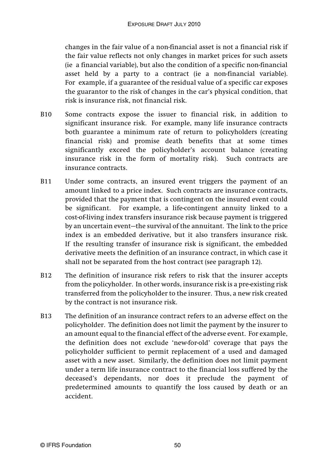changes in the fair value of a non-financial asset is not a financial risk if the fair value reflects not only changes in market prices for such assets (ie a financial variable), but also the condition of a specific non-financial asset held by a party to a contract (ie a non-financial variable). For example, if a guarantee of the residual value of a specific car exposes the guarantor to the risk of changes in the car's physical condition, that risk is insurance risk, not financial risk.

- B10 Some contracts expose the issuer to financial risk, in addition to significant insurance risk. For example, many life insurance contracts both guarantee a minimum rate of return to policyholders (creating financial risk) and promise death benefits that at some times significantly exceed the policyholder's account balance (creating insurance risk in the form of mortality risk). Such contracts are insurance contracts.
- B11 Under some contracts, an insured event triggers the payment of an amount linked to a price index. Such contracts are insurance contracts, provided that the payment that is contingent on the insured event could be significant. For example, a life-contingent annuity linked to a cost-of-living index transfers insurance risk because payment is triggered by an uncertain event—the survival of the annuitant. The link to the price index is an embedded derivative, but it also transfers insurance risk. If the resulting transfer of insurance risk is significant, the embedded derivative meets the definition of an insurance contract, in which case it shall not be separated from the host contract (see paragraph 12).
- B12 The definition of insurance risk refers to risk that the insurer accepts from the policyholder. In other words, insurance risk is a pre-existing risk transferred from the policyholder to the insurer. Thus, a new risk created by the contract is not insurance risk.
- B13 The definition of an insurance contract refers to an adverse effect on the policyholder. The definition does not limit the payment by the insurer to an amount equal to the financial effect of the adverse event. For example, the definition does not exclude 'new-for-old' coverage that pays the policyholder sufficient to permit replacement of a used and damaged asset with a new asset. Similarly, the definition does not limit payment under a term life insurance contract to the financial loss suffered by the deceased's dependants, nor does it preclude the payment of predetermined amounts to quantify the loss caused by death or an accident.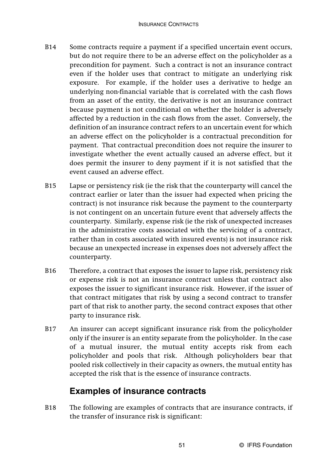- B14 Some contracts require a payment if a specified uncertain event occurs, but do not require there to be an adverse effect on the policyholder as a precondition for payment. Such a contract is not an insurance contract even if the holder uses that contract to mitigate an underlying risk exposure. For example, if the holder uses a derivative to hedge an underlying non-financial variable that is correlated with the cash flows from an asset of the entity, the derivative is not an insurance contract because payment is not conditional on whether the holder is adversely affected by a reduction in the cash flows from the asset. Conversely, the definition of an insurance contract refers to an uncertain event for which an adverse effect on the policyholder is a contractual precondition for payment. That contractual precondition does not require the insurer to investigate whether the event actually caused an adverse effect, but it does permit the insurer to deny payment if it is not satisfied that the event caused an adverse effect.
- B15 Lapse or persistency risk (ie the risk that the counterparty will cancel the contract earlier or later than the issuer had expected when pricing the contract) is not insurance risk because the payment to the counterparty is not contingent on an uncertain future event that adversely affects the counterparty. Similarly, expense risk (ie the risk of unexpected increases in the administrative costs associated with the servicing of a contract, rather than in costs associated with insured events) is not insurance risk because an unexpected increase in expenses does not adversely affect the counterparty.
- B16 Therefore, a contract that exposes the issuer to lapse risk, persistency risk or expense risk is not an insurance contract unless that contract also exposes the issuer to significant insurance risk. However, if the issuer of that contract mitigates that risk by using a second contract to transfer part of that risk to another party, the second contract exposes that other party to insurance risk.
- B17 An insurer can accept significant insurance risk from the policyholder only if the insurer is an entity separate from the policyholder. In the case of a mutual insurer, the mutual entity accepts risk from each policyholder and pools that risk. Although policyholders bear that pooled risk collectively in their capacity as owners, the mutual entity has accepted the risk that is the essence of insurance contracts.

# **Examples of insurance contracts**

B18 The following are examples of contracts that are insurance contracts, if the transfer of insurance risk is significant: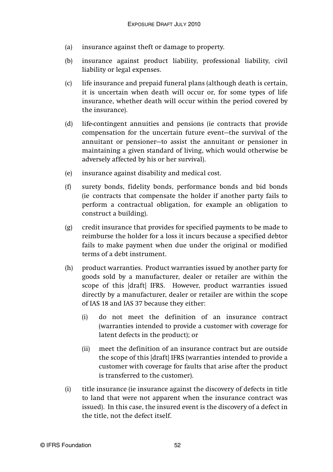- (a) insurance against theft or damage to property.
- (b) insurance against product liability, professional liability, civil liability or legal expenses.
- (c) life insurance and prepaid funeral plans (although death is certain, it is uncertain when death will occur or, for some types of life insurance, whether death will occur within the period covered by the insurance).
- (d) life-contingent annuities and pensions (ie contracts that provide compensation for the uncertain future event—the survival of the annuitant or pensioner—to assist the annuitant or pensioner in maintaining a given standard of living, which would otherwise be adversely affected by his or her survival).
- (e) insurance against disability and medical cost.
- (f) surety bonds, fidelity bonds, performance bonds and bid bonds (ie contracts that compensate the holder if another party fails to perform a contractual obligation, for example an obligation to construct a building).
- (g) credit insurance that provides for specified payments to be made to reimburse the holder for a loss it incurs because a specified debtor fails to make payment when due under the original or modified terms of a debt instrument.
- (h) product warranties. Product warranties issued by another party for goods sold by a manufacturer, dealer or retailer are within the scope of this [draft] IFRS. However, product warranties issued directly by a manufacturer, dealer or retailer are within the scope of IAS 18 and IAS 37 because they either:
	- (i) do not meet the definition of an insurance contract (warranties intended to provide a customer with coverage for latent defects in the product); or
	- (ii) meet the definition of an insurance contract but are outside the scope of this [draft] IFRS (warranties intended to provide a customer with coverage for faults that arise after the product is transferred to the customer).
- (i) title insurance (ie insurance against the discovery of defects in title to land that were not apparent when the insurance contract was issued). In this case, the insured event is the discovery of a defect in the title, not the defect itself.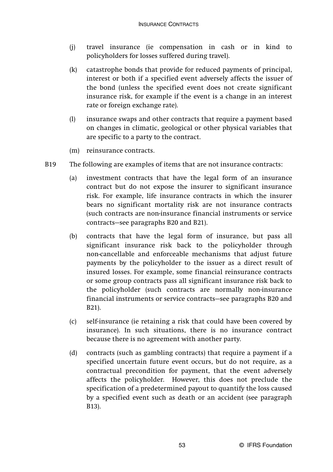- (j) travel insurance (ie compensation in cash or in kind to policyholders for losses suffered during travel).
- (k) catastrophe bonds that provide for reduced payments of principal, interest or both if a specified event adversely affects the issuer of the bond (unless the specified event does not create significant insurance risk, for example if the event is a change in an interest rate or foreign exchange rate).
- (l) insurance swaps and other contracts that require a payment based on changes in climatic, geological or other physical variables that are specific to a party to the contract.
- (m) reinsurance contracts.
- B19 The following are examples of items that are not insurance contracts:
	- (a) investment contracts that have the legal form of an insurance contract but do not expose the insurer to significant insurance risk. For example, life insurance contracts in which the insurer bears no significant mortality risk are not insurance contracts (such contracts are non-insurance financial instruments or service contracts—see paragraphs B20 and B21).
	- (b) contracts that have the legal form of insurance, but pass all significant insurance risk back to the policyholder through non-cancellable and enforceable mechanisms that adjust future payments by the policyholder to the issuer as a direct result of insured losses. For example, some financial reinsurance contracts or some group contracts pass all significant insurance risk back to the policyholder (such contracts are normally non-insurance financial instruments or service contracts—see paragraphs B20 and B21).
	- (c) self-insurance (ie retaining a risk that could have been covered by insurance). In such situations, there is no insurance contract because there is no agreement with another party.
	- (d) contracts (such as gambling contracts) that require a payment if a specified uncertain future event occurs, but do not require, as a contractual precondition for payment, that the event adversely affects the policyholder. However, this does not preclude the specification of a predetermined payout to quantify the loss caused by a specified event such as death or an accident (see paragraph B13).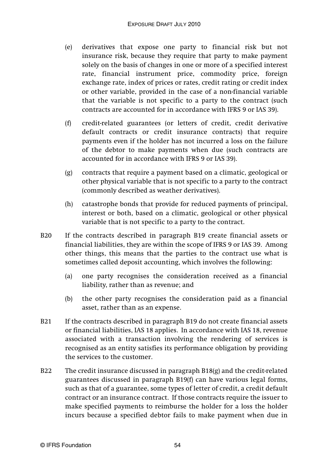- (e) derivatives that expose one party to financial risk but not insurance risk, because they require that party to make payment solely on the basis of changes in one or more of a specified interest rate, financial instrument price, commodity price, foreign exchange rate, index of prices or rates, credit rating or credit index or other variable, provided in the case of a non-financial variable that the variable is not specific to a party to the contract (such contracts are accounted for in accordance with IFRS 9 or IAS 39).
- (f) credit-related guarantees (or letters of credit, credit derivative default contracts or credit insurance contracts) that require payments even if the holder has not incurred a loss on the failure of the debtor to make payments when due (such contracts are accounted for in accordance with IFRS 9 or IAS 39).
- (g) contracts that require a payment based on a climatic, geological or other physical variable that is not specific to a party to the contract (commonly described as weather derivatives).
- (h) catastrophe bonds that provide for reduced payments of principal, interest or both, based on a climatic, geological or other physical variable that is not specific to a party to the contract.
- B20 If the contracts described in paragraph B19 create financial assets or financial liabilities, they are within the scope of IFRS 9 or IAS 39. Among other things, this means that the parties to the contract use what is sometimes called deposit accounting, which involves the following:
	- (a) one party recognises the consideration received as a financial liability, rather than as revenue; and
	- (b) the other party recognises the consideration paid as a financial asset, rather than as an expense.
- B21 If the contracts described in paragraph B19 do not create financial assets or financial liabilities, IAS 18 applies. In accordance with IAS 18, revenue associated with a transaction involving the rendering of services is recognised as an entity satisfies its performance obligation by providing the services to the customer.
- B22 The credit insurance discussed in paragraph B18(g) and the credit-related guarantees discussed in paragraph B19(f) can have various legal forms, such as that of a guarantee, some types of letter of credit, a credit default contract or an insurance contract. If those contracts require the issuer to make specified payments to reimburse the holder for a loss the holder incurs because a specified debtor fails to make payment when due in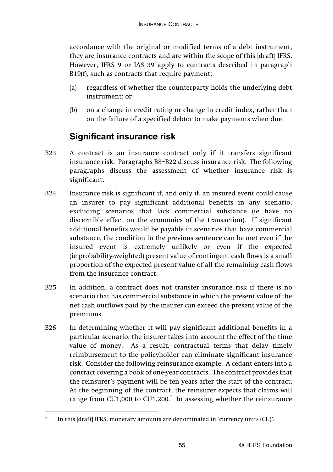accordance with the original or modified terms of a debt instrument, they are insurance contracts and are within the scope of this [draft] IFRS. However, IFRS 9 or IAS 39 apply to contracts described in paragraph B19(f), such as contracts that require payment:

- (a) regardless of whether the counterparty holds the underlying debt instrument; or
- (b) on a change in credit rating or change in credit index, rather than on the failure of a specified debtor to make payments when due.

# **Significant insurance risk**

- B23 A contract is an insurance contract only if it transfers significant insurance risk. Paragraphs B8–B22 discuss insurance risk. The following paragraphs discuss the assessment of whether insurance risk is significant.
- B24 Insurance risk is significant if, and only if, an insured event could cause an insurer to pay significant additional benefits in any scenario, excluding scenarios that lack commercial substance (ie have no discernible effect on the economics of the transaction). If significant additional benefits would be payable in scenarios that have commercial substance, the condition in the previous sentence can be met even if the insured event is extremely unlikely or even if the expected (ie probability-weighted) present value of contingent cash flows is a small proportion of the expected present value of all the remaining cash flows from the insurance contract.
- B25 In addition, a contract does not transfer insurance risk if there is no scenario that has commercial substance in which the present value of the net cash outflows paid by the insurer can exceed the present value of the premiums.
- B26 In determining whether it will pay significant additional benefits in a particular scenario, the insurer takes into account the effect of the time value of money. As a result, contractual terms that delay timely reimbursement to the policyholder can eliminate significant insurance risk. Consider the following reinsurance example. A cedant enters into a contract covering a book of one-year contracts. The contract provides that the reinsurer's payment will be ten years after the start of the contract. At the beginning of the contract, the reinsurer expects that claims will range from CU1,000 to CU1,200. In assessing whether the reinsurance

In this [draft] IFRS, monetary amounts are denominated in 'currency units (CU)'.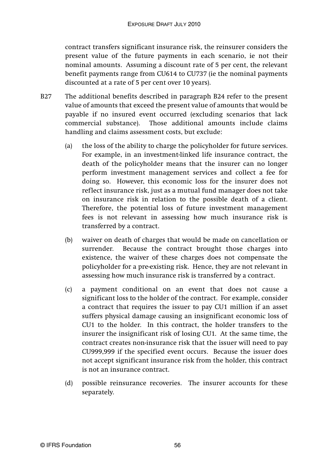contract transfers significant insurance risk, the reinsurer considers the present value of the future payments in each scenario, ie not their nominal amounts. Assuming a discount rate of 5 per cent, the relevant benefit payments range from CU614 to CU737 (ie the nominal payments discounted at a rate of 5 per cent over 10 years).

- B27 The additional benefits described in paragraph B24 refer to the present value of amounts that exceed the present value of amounts that would be payable if no insured event occurred (excluding scenarios that lack commercial substance). Those additional amounts include claims handling and claims assessment costs, but exclude:
	- (a) the loss of the ability to charge the policyholder for future services. For example, in an investment-linked life insurance contract, the death of the policyholder means that the insurer can no longer perform investment management services and collect a fee for doing so. However, this economic loss for the insurer does not reflect insurance risk, just as a mutual fund manager does not take on insurance risk in relation to the possible death of a client. Therefore, the potential loss of future investment management fees is not relevant in assessing how much insurance risk is transferred by a contract.
	- (b) waiver on death of charges that would be made on cancellation or surrender. Because the contract brought those charges into existence, the waiver of these charges does not compensate the policyholder for a pre-existing risk. Hence, they are not relevant in assessing how much insurance risk is transferred by a contract.
	- (c) a payment conditional on an event that does not cause a significant loss to the holder of the contract. For example, consider a contract that requires the issuer to pay CU1 million if an asset suffers physical damage causing an insignificant economic loss of CU1 to the holder. In this contract, the holder transfers to the insurer the insignificant risk of losing CU1. At the same time, the contract creates non-insurance risk that the issuer will need to pay CU999,999 if the specified event occurs. Because the issuer does not accept significant insurance risk from the holder, this contract is not an insurance contract.
	- (d) possible reinsurance recoveries. The insurer accounts for these separately.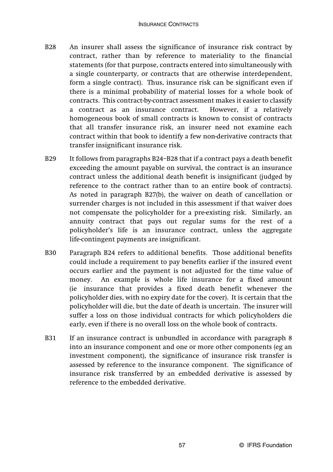- B28 An insurer shall assess the significance of insurance risk contract by contract, rather than by reference to materiality to the financial statements (for that purpose, contracts entered into simultaneously with a single counterparty, or contracts that are otherwise interdependent, form a single contract). Thus, insurance risk can be significant even if there is a minimal probability of material losses for a whole book of contracts. This contract-by-contract assessment makes it easier to classify a contract as an insurance contract. However, if a relatively homogeneous book of small contracts is known to consist of contracts that all transfer insurance risk, an insurer need not examine each contract within that book to identify a few non-derivative contracts that transfer insignificant insurance risk.
- B29 It follows from paragraphs B24–B28 that if a contract pays a death benefit exceeding the amount payable on survival, the contract is an insurance contract unless the additional death benefit is insignificant (judged by reference to the contract rather than to an entire book of contracts). As noted in paragraph B27(b), the waiver on death of cancellation or surrender charges is not included in this assessment if that waiver does not compensate the policyholder for a pre-existing risk. Similarly, an annuity contract that pays out regular sums for the rest of a policyholder's life is an insurance contract, unless the aggregate life-contingent payments are insignificant.
- B30 Paragraph B24 refers to additional benefits. Those additional benefits could include a requirement to pay benefits earlier if the insured event occurs earlier and the payment is not adjusted for the time value of money. An example is whole life insurance for a fixed amount (ie insurance that provides a fixed death benefit whenever the policyholder dies, with no expiry date for the cover). It is certain that the policyholder will die, but the date of death is uncertain. The insurer will suffer a loss on those individual contracts for which policyholders die early, even if there is no overall loss on the whole book of contracts.
- B31 If an insurance contract is unbundled in accordance with paragraph 8 into an insurance component and one or more other components (eg an investment component), the significance of insurance risk transfer is assessed by reference to the insurance component. The significance of insurance risk transferred by an embedded derivative is assessed by reference to the embedded derivative.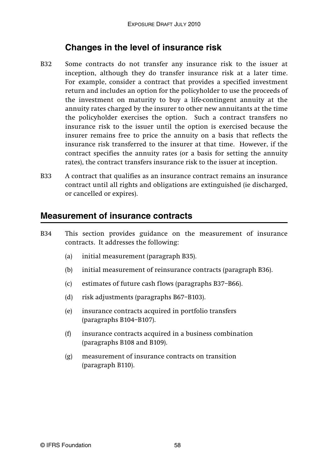# **Changes in the level of insurance risk**

- B32 Some contracts do not transfer any insurance risk to the issuer at inception, although they do transfer insurance risk at a later time. For example, consider a contract that provides a specified investment return and includes an option for the policyholder to use the proceeds of the investment on maturity to buy a life-contingent annuity at the annuity rates charged by the insurer to other new annuitants at the time the policyholder exercises the option. Such a contract transfers no insurance risk to the issuer until the option is exercised because the insurer remains free to price the annuity on a basis that reflects the insurance risk transferred to the insurer at that time. However, if the contract specifies the annuity rates (or a basis for setting the annuity rates), the contract transfers insurance risk to the issuer at inception.
- B33 A contract that qualifies as an insurance contract remains an insurance contract until all rights and obligations are extinguished (ie discharged, or cancelled or expires).

### **Measurement of insurance contracts**

- B34 This section provides guidance on the measurement of insurance contracts. It addresses the following:
	- (a) initial measurement (paragraph B35).
	- (b) initial measurement of reinsurance contracts (paragraph B36).
	- (c) estimates of future cash flows (paragraphs B37–B66).
	- (d) risk adjustments (paragraphs B67–B103).
	- (e) insurance contracts acquired in portfolio transfers (paragraphs B104–B107).
	- (f) insurance contracts acquired in a business combination (paragraphs B108 and B109).
	- (g) measurement of insurance contracts on transition (paragraph B110).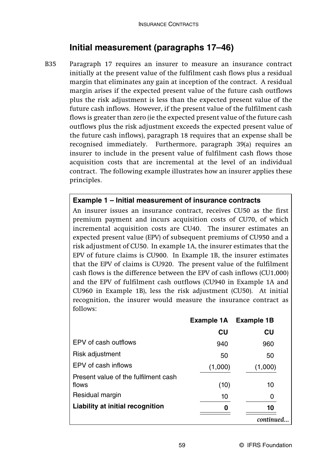# **Initial measurement (paragraphs 17–46)**

B35 Paragraph 17 requires an insurer to measure an insurance contract initially at the present value of the fulfilment cash flows plus a residual margin that eliminates any gain at inception of the contract. A residual margin arises if the expected present value of the future cash outflows plus the risk adjustment is less than the expected present value of the future cash inflows. However, if the present value of the fulfilment cash flows is greater than zero (ie the expected present value of the future cash outflows plus the risk adjustment exceeds the expected present value of the future cash inflows), paragraph 18 requires that an expense shall be recognised immediately. Furthermore, paragraph 39(a) requires an insurer to include in the present value of fulfilment cash flows those acquisition costs that are incremental at the level of an individual contract. The following example illustrates how an insurer applies these principles.

#### **Example 1 – Initial measurement of insurance contracts**

An insurer issues an insurance contract, receives CU50 as the first premium payment and incurs acquisition costs of CU70, of which incremental acquisition costs are CU40. The insurer estimates an expected present value (EPV) of subsequent premiums of CU950 and a risk adjustment of CU50. In example 1A, the insurer estimates that the EPV of future claims is CU900. In Example 1B, the insurer estimates that the EPV of claims is CU920. The present value of the fulfilment cash flows is the difference between the EPV of cash inflows (CU1,000) and the EPV of fulfilment cash outflows (CU940 in Example 1A and CU960 in Example 1B), less the risk adjustment (CU50). At initial recognition, the insurer would measure the insurance contract as follows:

|                                               | Example 1A | <b>Example 1B</b> |  |
|-----------------------------------------------|------------|-------------------|--|
|                                               | CU         | CU                |  |
| EPV of cash outflows                          | 940        | 960               |  |
| Risk adjustment                               | 50         | 50                |  |
| EPV of cash inflows                           | (1,000)    | (1,000)           |  |
| Present value of the fulfilment cash<br>flows | (10)       | 10                |  |
| Residual margin                               | 10         | 0                 |  |
| Liability at initial recognition              |            | 10                |  |
|                                               |            | continued         |  |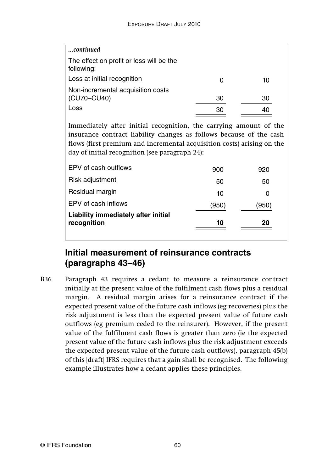| continued                                                                                                                                                                                                                                                            |       |       |
|----------------------------------------------------------------------------------------------------------------------------------------------------------------------------------------------------------------------------------------------------------------------|-------|-------|
| The effect on profit or loss will be the<br>following:                                                                                                                                                                                                               |       |       |
| Loss at initial recognition                                                                                                                                                                                                                                          | O     | 10    |
| Non-incremental acquisition costs<br>(CU70-CU40)                                                                                                                                                                                                                     | 30    | 30    |
| Loss                                                                                                                                                                                                                                                                 | 30    | 40    |
| Immediately after initial recognition, the carrying amount of the<br>insurance contract liability changes as follows because of the cash<br>flows (first premium and incremental acquisition costs) arising on the<br>day of initial recognition (see paragraph 24): |       |       |
| EPV of cash outflows                                                                                                                                                                                                                                                 | 900   | 920   |
| Risk adjustment                                                                                                                                                                                                                                                      | 50    | 50    |
| Residual margin                                                                                                                                                                                                                                                      | 10    | 0     |
| EPV of cash inflows                                                                                                                                                                                                                                                  | (950) | (950) |
| Liability immediately after initial<br>recognition                                                                                                                                                                                                                   | 10    | 20    |

# **Initial measurement of reinsurance contracts (paragraphs 43–46)**

B36 Paragraph 43 requires a cedant to measure a reinsurance contract initially at the present value of the fulfilment cash flows plus a residual margin. A residual margin arises for a reinsurance contract if the expected present value of the future cash inflows (eg recoveries) plus the risk adjustment is less than the expected present value of future cash outflows (eg premium ceded to the reinsurer). However, if the present value of the fulfilment cash flows is greater than zero (ie the expected present value of the future cash inflows plus the risk adjustment exceeds the expected present value of the future cash outflows), paragraph 45(b) of this [draft] IFRS requires that a gain shall be recognised. The following example illustrates how a cedant applies these principles.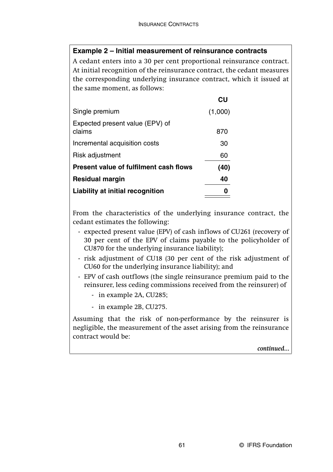#### **Example 2 – Initial measurement of reinsurance contracts**

A cedant enters into a 30 per cent proportional reinsurance contract. At initial recognition of the reinsurance contract, the cedant measures the corresponding underlying insurance contract, which it issued at the same moment, as follows:

|                                        | CU      |
|----------------------------------------|---------|
| Single premium                         | (1,000) |
| Expected present value (EPV) of        |         |
| claims                                 | 870     |
| Incremental acquisition costs          | 30      |
| Risk adjustment                        | 60      |
| Present value of fulfilment cash flows | (40)    |
| <b>Residual margin</b>                 | 40      |
| Liability at initial recognition       |         |

From the characteristics of the underlying insurance contract, the cedant estimates the following:

- expected present value (EPV) of cash inflows of CU261 (recovery of 30 per cent of the EPV of claims payable to the policyholder of CU870 for the underlying insurance liability);
- risk adjustment of CU18 (30 per cent of the risk adjustment of CU60 for the underlying insurance liability); and
- EPV of cash outflows (the single reinsurance premium paid to the reinsurer, less ceding commissions received from the reinsurer) of
	- in example 2A, CU285;
	- in example 2B, CU275.

Assuming that the risk of non-performance by the reinsurer is negligible, the measurement of the asset arising from the reinsurance contract would be:

*continued...*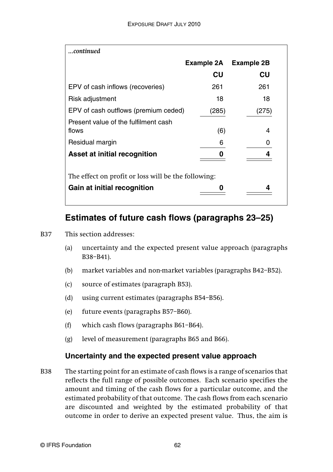| continued                                           |            |                   |  |
|-----------------------------------------------------|------------|-------------------|--|
|                                                     | Example 2A | <b>Example 2B</b> |  |
|                                                     | CU         | CU                |  |
| EPV of cash inflows (recoveries)                    | 261        | 261               |  |
| Risk adjustment                                     | 18         | 18                |  |
| EPV of cash outflows (premium ceded)                | (285)      | (275)             |  |
| Present value of the fulfilment cash                |            |                   |  |
| flows                                               | (6)        | 4                 |  |
| Residual margin                                     | 6          | O                 |  |
| Asset at initial recognition                        |            |                   |  |
|                                                     |            |                   |  |
| The effect on profit or loss will be the following: |            |                   |  |
| Gain at initial recognition                         |            |                   |  |

### **Estimates of future cash flows (paragraphs 23–25)**

#### B37 This section addresses:

- (a) uncertainty and the expected present value approach (paragraphs B38–B41).
- (b) market variables and non-market variables (paragraphs B42–B52).
- (c) source of estimates (paragraph B53).
- (d) using current estimates (paragraphs B54–B56).
- (e) future events (paragraphs B57–B60).
- (f) which cash flows (paragraphs B61–B64).
- (g) level of measurement (paragraphs B65 and B66).

### **Uncertainty and the expected present value approach**

B38 The starting point for an estimate of cash flows is a range of scenarios that reflects the full range of possible outcomes. Each scenario specifies the amount and timing of the cash flows for a particular outcome, and the estimated probability of that outcome. The cash flows from each scenario are discounted and weighted by the estimated probability of that outcome in order to derive an expected present value. Thus, the aim is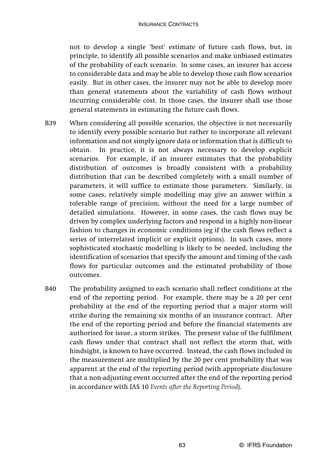not to develop a single 'best' estimate of future cash flows, but, in principle, to identify all possible scenarios and make unbiased estimates of the probability of each scenario. In some cases, an insurer has access to considerable data and may be able to develop those cash flow scenarios easily. But in other cases, the insurer may not be able to develop more than general statements about the variability of cash flows without incurring considerable cost. In those cases, the insurer shall use those general statements in estimating the future cash flows.

- B39 When considering all possible scenarios, the objective is not necessarily to identify every possible scenario but rather to incorporate all relevant information and not simply ignore data or information that is difficult to obtain. In practice, it is not always necessary to develop explicit scenarios. For example, if an insurer estimates that the probability distribution of outcomes is broadly consistent with a probability distribution that can be described completely with a small number of parameters, it will suffice to estimate those parameters. Similarly, in some cases, relatively simple modelling may give an answer within a tolerable range of precision, without the need for a large number of detailed simulations. However, in some cases, the cash flows may be driven by complex underlying factors and respond in a highly non-linear fashion to changes in economic conditions (eg if the cash flows reflect a series of interrelated implicit or explicit options). In such cases, more sophisticated stochastic modelling is likely to be needed, including the identification of scenarios that specify the amount and timing of the cash flows for particular outcomes and the estimated probability of those outcomes.
- B40 The probability assigned to each scenario shall reflect conditions at the end of the reporting period. For example, there may be a 20 per cent probability at the end of the reporting period that a major storm will strike during the remaining six months of an insurance contract. After the end of the reporting period and before the financial statements are authorised for issue, a storm strikes. The present value of the fulfilment cash flows under that contract shall not reflect the storm that, with hindsight, is known to have occurred. Instead, the cash flows included in the measurement are multiplied by the 20 per cent probability that was apparent at the end of the reporting period (with appropriate disclosure that a non-adjusting event occurred after the end of the reporting period in accordance with IAS 10 *Events after the Reporting Period*).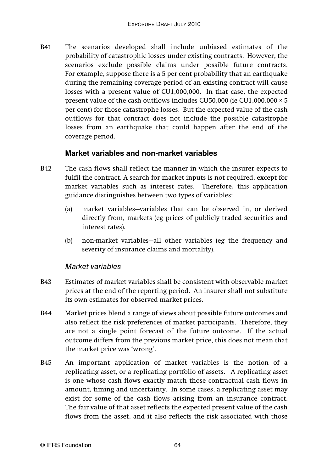B41 The scenarios developed shall include unbiased estimates of the probability of catastrophic losses under existing contracts. However, the scenarios exclude possible claims under possible future contracts. For example, suppose there is a 5 per cent probability that an earthquake during the remaining coverage period of an existing contract will cause losses with a present value of CU1,000,000. In that case, the expected present value of the cash outflows includes CU50,000 (ie CU1,000,000 × 5 per cent) for those catastrophe losses. But the expected value of the cash outflows for that contract does not include the possible catastrophe losses from an earthquake that could happen after the end of the coverage period.

### **Market variables and non-market variables**

- B42 The cash flows shall reflect the manner in which the insurer expects to fulfil the contract. A search for market inputs is not required, except for market variables such as interest rates. Therefore, this application guidance distinguishes between two types of variables:
	- (a) market variables—variables that can be observed in, or derived directly from, markets (eg prices of publicly traded securities and interest rates).
	- (b) non-market variables—all other variables (eg the frequency and severity of insurance claims and mortality).

#### Market variables

- B43 Estimates of market variables shall be consistent with observable market prices at the end of the reporting period. An insurer shall not substitute its own estimates for observed market prices.
- B44 Market prices blend a range of views about possible future outcomes and also reflect the risk preferences of market participants. Therefore, they are not a single point forecast of the future outcome. If the actual outcome differs from the previous market price, this does not mean that the market price was 'wrong'.
- B45 An important application of market variables is the notion of a replicating asset, or a replicating portfolio of assets. A replicating asset is one whose cash flows exactly match those contractual cash flows in amount, timing and uncertainty. In some cases, a replicating asset may exist for some of the cash flows arising from an insurance contract. The fair value of that asset reflects the expected present value of the cash flows from the asset, and it also reflects the risk associated with those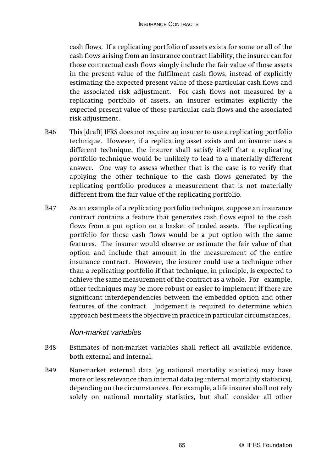cash flows. If a replicating portfolio of assets exists for some or all of the cash flows arising from an insurance contract liability, the insurer can for those contractual cash flows simply include the fair value of those assets in the present value of the fulfilment cash flows, instead of explicitly estimating the expected present value of those particular cash flows and the associated risk adjustment. For cash flows not measured by a replicating portfolio of assets, an insurer estimates explicitly the expected present value of those particular cash flows and the associated risk adjustment.

- B46 This [draft] IFRS does not require an insurer to use a replicating portfolio technique. However, if a replicating asset exists and an insurer uses a different technique, the insurer shall satisfy itself that a replicating portfolio technique would be unlikely to lead to a materially different answer. One way to assess whether that is the case is to verify that applying the other technique to the cash flows generated by the replicating portfolio produces a measurement that is not materially different from the fair value of the replicating portfolio.
- B47 As an example of a replicating portfolio technique, suppose an insurance contract contains a feature that generates cash flows equal to the cash flows from a put option on a basket of traded assets. The replicating portfolio for those cash flows would be a put option with the same features. The insurer would observe or estimate the fair value of that option and include that amount in the measurement of the entire insurance contract. However, the insurer could use a technique other than a replicating portfolio if that technique, in principle, is expected to achieve the same measurement of the contract as a whole. For example, other techniques may be more robust or easier to implement if there are significant interdependencies between the embedded option and other features of the contract. Judgement is required to determine which approach best meets the objective in practice in particular circumstances.

### Non-market variables

- B48 Estimates of non-market variables shall reflect all available evidence, both external and internal.
- B49 Non-market external data (eg national mortality statistics) may have more or less relevance than internal data (eg internal mortality statistics), depending on the circumstances. For example, a life insurer shall not rely solely on national mortality statistics, but shall consider all other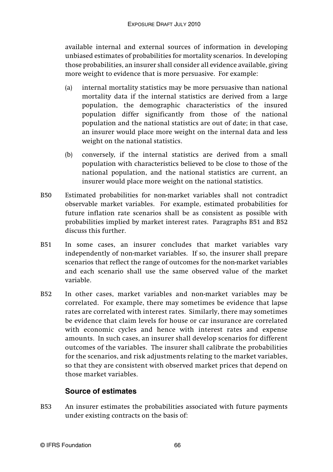available internal and external sources of information in developing unbiased estimates of probabilities for mortality scenarios. In developing those probabilities, an insurer shall consider all evidence available, giving more weight to evidence that is more persuasive. For example:

- (a) internal mortality statistics may be more persuasive than national mortality data if the internal statistics are derived from a large population, the demographic characteristics of the insured population differ significantly from those of the national population and the national statistics are out of date; in that case, an insurer would place more weight on the internal data and less weight on the national statistics.
- (b) conversely, if the internal statistics are derived from a small population with characteristics believed to be close to those of the national population, and the national statistics are current, an insurer would place more weight on the national statistics.
- B50 Estimated probabilities for non-market variables shall not contradict observable market variables. For example, estimated probabilities for future inflation rate scenarios shall be as consistent as possible with probabilities implied by market interest rates. Paragraphs B51 and B52 discuss this further.
- B51 In some cases, an insurer concludes that market variables vary independently of non-market variables. If so, the insurer shall prepare scenarios that reflect the range of outcomes for the non-market variables and each scenario shall use the same observed value of the market variable.
- B52 In other cases, market variables and non-market variables may be correlated. For example, there may sometimes be evidence that lapse rates are correlated with interest rates. Similarly, there may sometimes be evidence that claim levels for house or car insurance are correlated with economic cycles and hence with interest rates and expense amounts. In such cases, an insurer shall develop scenarios for different outcomes of the variables. The insurer shall calibrate the probabilities for the scenarios, and risk adjustments relating to the market variables, so that they are consistent with observed market prices that depend on those market variables.

### **Source of estimates**

B53 An insurer estimates the probabilities associated with future payments under existing contracts on the basis of: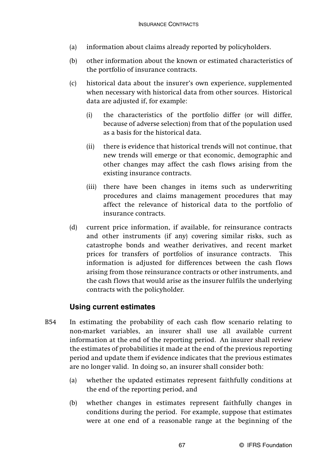- (a) information about claims already reported by policyholders.
- (b) other information about the known or estimated characteristics of the portfolio of insurance contracts.
- (c) historical data about the insurer's own experience, supplemented when necessary with historical data from other sources. Historical data are adjusted if, for example:
	- (i) the characteristics of the portfolio differ (or will differ, because of adverse selection) from that of the population used as a basis for the historical data.
	- (ii) there is evidence that historical trends will not continue, that new trends will emerge or that economic, demographic and other changes may affect the cash flows arising from the existing insurance contracts.
	- (iii) there have been changes in items such as underwriting procedures and claims management procedures that may affect the relevance of historical data to the portfolio of insurance contracts.
- (d) current price information, if available, for reinsurance contracts and other instruments (if any) covering similar risks, such as catastrophe bonds and weather derivatives, and recent market prices for transfers of portfolios of insurance contracts. This information is adjusted for differences between the cash flows arising from those reinsurance contracts or other instruments, and the cash flows that would arise as the insurer fulfils the underlying contracts with the policyholder.

### **Using current estimates**

- B54 In estimating the probability of each cash flow scenario relating to non-market variables, an insurer shall use all available current information at the end of the reporting period. An insurer shall review the estimates of probabilities it made at the end of the previous reporting period and update them if evidence indicates that the previous estimates are no longer valid. In doing so, an insurer shall consider both:
	- (a) whether the updated estimates represent faithfully conditions at the end of the reporting period, and
	- (b) whether changes in estimates represent faithfully changes in conditions during the period. For example, suppose that estimates were at one end of a reasonable range at the beginning of the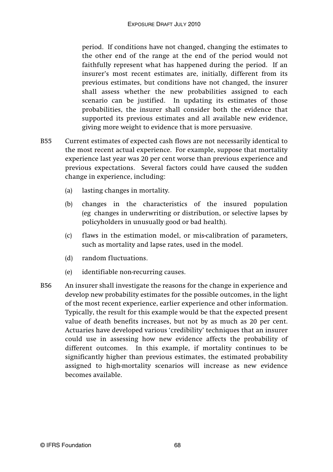period. If conditions have not changed, changing the estimates to the other end of the range at the end of the period would not faithfully represent what has happened during the period. If an insurer's most recent estimates are, initially, different from its previous estimates, but conditions have not changed, the insurer shall assess whether the new probabilities assigned to each scenario can be justified. In updating its estimates of those probabilities, the insurer shall consider both the evidence that supported its previous estimates and all available new evidence, giving more weight to evidence that is more persuasive.

- B55 Current estimates of expected cash flows are not necessarily identical to the most recent actual experience. For example, suppose that mortality experience last year was 20 per cent worse than previous experience and previous expectations. Several factors could have caused the sudden change in experience, including:
	- (a) lasting changes in mortality.
	- (b) changes in the characteristics of the insured population (eg changes in underwriting or distribution, or selective lapses by policyholders in unusually good or bad health).
	- (c) flaws in the estimation model, or mis-calibration of parameters, such as mortality and lapse rates, used in the model.
	- (d) random fluctuations.
	- (e) identifiable non-recurring causes.
- B56 An insurer shall investigate the reasons for the change in experience and develop new probability estimates for the possible outcomes, in the light of the most recent experience, earlier experience and other information. Typically, the result for this example would be that the expected present value of death benefits increases, but not by as much as 20 per cent. Actuaries have developed various 'credibility' techniques that an insurer could use in assessing how new evidence affects the probability of different outcomes. In this example, if mortality continues to be significantly higher than previous estimates, the estimated probability assigned to high-mortality scenarios will increase as new evidence becomes available.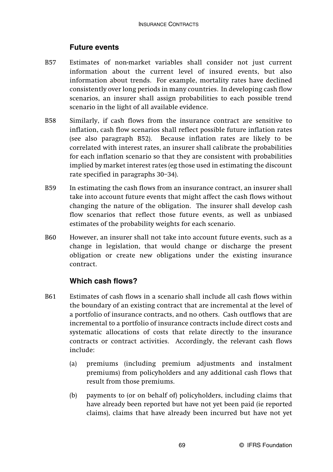### **Future events**

- B57 Estimates of non-market variables shall consider not just current information about the current level of insured events, but also information about trends. For example, mortality rates have declined consistently over long periods in many countries. In developing cash flow scenarios, an insurer shall assign probabilities to each possible trend scenario in the light of all available evidence.
- B58 Similarly, if cash flows from the insurance contract are sensitive to inflation, cash flow scenarios shall reflect possible future inflation rates (see also paragraph B52). Because inflation rates are likely to be correlated with interest rates, an insurer shall calibrate the probabilities for each inflation scenario so that they are consistent with probabilities implied by market interest rates (eg those used in estimating the discount rate specified in paragraphs 30–34).
- B59 In estimating the cash flows from an insurance contract, an insurer shall take into account future events that might affect the cash flows without changing the nature of the obligation. The insurer shall develop cash flow scenarios that reflect those future events, as well as unbiased estimates of the probability weights for each scenario.
- B60 However, an insurer shall not take into account future events, such as a change in legislation, that would change or discharge the present obligation or create new obligations under the existing insurance contract.

#### **Which cash flows?**

- B61 Estimates of cash flows in a scenario shall include all cash flows within the boundary of an existing contract that are incremental at the level of a portfolio of insurance contracts, and no others. Cash outflows that are incremental to a portfolio of insurance contracts include direct costs and systematic allocations of costs that relate directly to the insurance contracts or contract activities. Accordingly, the relevant cash flows include:
	- (a) premiums (including premium adjustments and instalment premiums) from policyholders and any additional cash flows that result from those premiums.
	- (b) payments to (or on behalf of) policyholders, including claims that have already been reported but have not yet been paid (ie reported claims), claims that have already been incurred but have not yet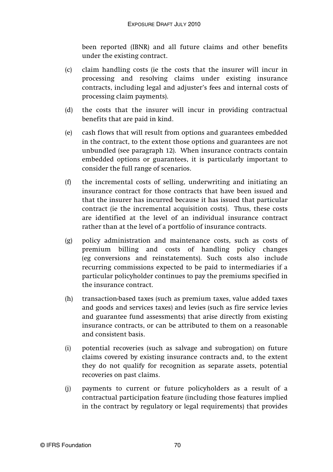been reported (IBNR) and all future claims and other benefits under the existing contract.

- (c) claim handling costs (ie the costs that the insurer will incur in processing and resolving claims under existing insurance contracts, including legal and adjuster's fees and internal costs of processing claim payments).
- (d) the costs that the insurer will incur in providing contractual benefits that are paid in kind.
- (e) cash flows that will result from options and guarantees embedded in the contract, to the extent those options and guarantees are not unbundled (see paragraph 12). When insurance contracts contain embedded options or guarantees, it is particularly important to consider the full range of scenarios.
- (f) the incremental costs of selling, underwriting and initiating an insurance contract for those contracts that have been issued and that the insurer has incurred because it has issued that particular contract (ie the incremental acquisition costs). Thus, these costs are identified at the level of an individual insurance contract rather than at the level of a portfolio of insurance contracts.
- (g) policy administration and maintenance costs, such as costs of premium billing and costs of handling policy changes (eg conversions and reinstatements). Such costs also include recurring commissions expected to be paid to intermediaries if a particular policyholder continues to pay the premiums specified in the insurance contract.
- (h) transaction-based taxes (such as premium taxes, value added taxes and goods and services taxes) and levies (such as fire service levies and guarantee fund assessments) that arise directly from existing insurance contracts, or can be attributed to them on a reasonable and consistent basis.
- (i) potential recoveries (such as salvage and subrogation) on future claims covered by existing insurance contracts and, to the extent they do not qualify for recognition as separate assets, potential recoveries on past claims.
- (j) payments to current or future policyholders as a result of a contractual participation feature (including those features implied in the contract by regulatory or legal requirements) that provides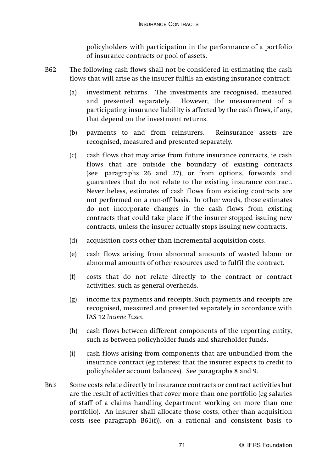policyholders with participation in the performance of a portfolio of insurance contracts or pool of assets.

- B62 The following cash flows shall not be considered in estimating the cash flows that will arise as the insurer fulfils an existing insurance contract:
	- (a) investment returns. The investments are recognised, measured and presented separately. However, the measurement of a participating insurance liability is affected by the cash flows, if any, that depend on the investment returns.
	- (b) payments to and from reinsurers. Reinsurance assets are recognised, measured and presented separately.
	- (c) cash flows that may arise from future insurance contracts, ie cash flows that are outside the boundary of existing contracts (see paragraphs 26 and 27), or from options, forwards and guarantees that do not relate to the existing insurance contract. Nevertheless, estimates of cash flows from existing contracts are not performed on a run-off basis. In other words, those estimates do not incorporate changes in the cash flows from existing contracts that could take place if the insurer stopped issuing new contracts, unless the insurer actually stops issuing new contracts.
	- (d) acquisition costs other than incremental acquisition costs.
	- (e) cash flows arising from abnormal amounts of wasted labour or abnormal amounts of other resources used to fulfil the contract.
	- (f) costs that do not relate directly to the contract or contract activities, such as general overheads.
	- (g) income tax payments and receipts. Such payments and receipts are recognised, measured and presented separately in accordance with IAS 12 *Income Taxes*.
	- (h) cash flows between different components of the reporting entity, such as between policyholder funds and shareholder funds.
	- (i) cash flows arising from components that are unbundled from the insurance contract (eg interest that the insurer expects to credit to policyholder account balances). See paragraphs 8 and 9.
- B63 Some costs relate directly to insurance contracts or contract activities but are the result of activities that cover more than one portfolio (eg salaries of staff of a claims handling department working on more than one portfolio). An insurer shall allocate those costs, other than acquisition costs (see paragraph B61(f)), on a rational and consistent basis to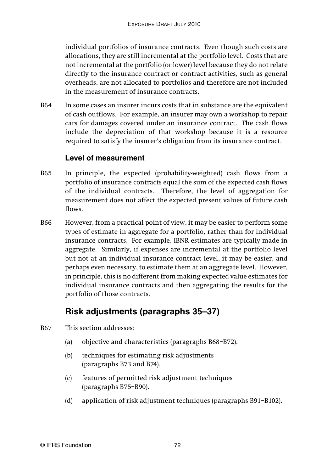individual portfolios of insurance contracts. Even though such costs are allocations, they are still incremental at the portfolio level. Costs that are not incremental at the portfolio (or lower) level because they do not relate directly to the insurance contract or contract activities, such as general overheads, are not allocated to portfolios and therefore are not included in the measurement of insurance contracts.

B64 In some cases an insurer incurs costs that in substance are the equivalent of cash outflows. For example, an insurer may own a workshop to repair cars for damages covered under an insurance contract. The cash flows include the depreciation of that workshop because it is a resource required to satisfy the insurer's obligation from its insurance contract.

#### **Level of measurement**

- B65 In principle, the expected (probability-weighted) cash flows from a portfolio of insurance contracts equal the sum of the expected cash flows of the individual contracts. Therefore, the level of aggregation for measurement does not affect the expected present values of future cash flows.
- B66 However, from a practical point of view, it may be easier to perform some types of estimate in aggregate for a portfolio, rather than for individual insurance contracts. For example, IBNR estimates are typically made in aggregate. Similarly, if expenses are incremental at the portfolio level but not at an individual insurance contract level, it may be easier, and perhaps even necessary, to estimate them at an aggregate level. However, in principle, this is no different from making expected value estimates for individual insurance contracts and then aggregating the results for the portfolio of those contracts.

# **Risk adjustments (paragraphs 35–37)**

- B67 This section addresses:
	- (a) objective and characteristics (paragraphs B68–B72).
	- (b) techniques for estimating risk adjustments (paragraphs B73 and B74).
	- (c) features of permitted risk adjustment techniques (paragraphs B75–B90).
	- (d) application of risk adjustment techniques (paragraphs B91–B102).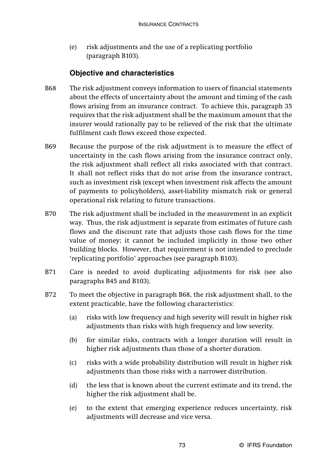(e) risk adjustments and the use of a replicating portfolio (paragraph B103).

# **Objective and characteristics**

- B68 The risk adjustment conveys information to users of financial statements about the effects of uncertainty about the amount and timing of the cash flows arising from an insurance contract. To achieve this, paragraph 35 requires that the risk adjustment shall be the maximum amount that the insurer would rationally pay to be relieved of the risk that the ultimate fulfilment cash flows exceed those expected.
- B69 Because the purpose of the risk adjustment is to measure the effect of uncertainty in the cash flows arising from the insurance contract only, the risk adjustment shall reflect all risks associated with that contract. It shall not reflect risks that do not arise from the insurance contract, such as investment risk (except when investment risk affects the amount of payments to policyholders), asset-liability mismatch risk or general operational risk relating to future transactions.
- B70 The risk adjustment shall be included in the measurement in an explicit way. Thus, the risk adjustment is separate from estimates of future cash flows and the discount rate that adjusts those cash flows for the time value of money; it cannot be included implicitly in those two other building blocks. However, that requirement is not intended to preclude 'replicating portfolio' approaches (see paragraph B103).
- B71 Care is needed to avoid duplicating adjustments for risk (see also paragraphs B45 and B103).
- B72 To meet the objective in paragraph B68, the risk adjustment shall, to the extent practicable, have the following characteristics:
	- (a) risks with low frequency and high severity will result in higher risk adjustments than risks with high frequency and low severity.
	- (b) for similar risks, contracts with a longer duration will result in higher risk adjustments than those of a shorter duration.
	- (c) risks with a wide probability distribution will result in higher risk adjustments than those risks with a narrower distribution.
	- (d) the less that is known about the current estimate and its trend, the higher the risk adjustment shall be.
	- (e) to the extent that emerging experience reduces uncertainty, risk adjustments will decrease and vice versa.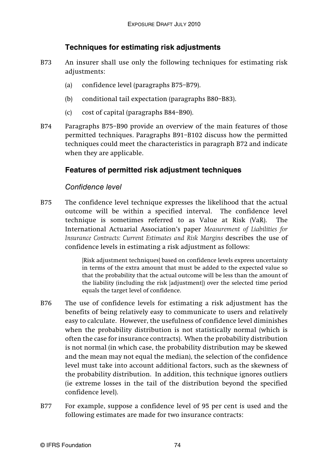# **Techniques for estimating risk adjustments**

- B73 An insurer shall use only the following techniques for estimating risk adjustments:
	- (a) confidence level (paragraphs B75–B79).
	- (b) conditional tail expectation (paragraphs B80–B83).
	- (c) cost of capital (paragraphs B84–B90).
- B74 Paragraphs B75–B90 provide an overview of the main features of those permitted techniques. Paragraphs B91–B102 discuss how the permitted techniques could meet the characteristics in paragraph B72 and indicate when they are applicable.

# **Features of permitted risk adjustment techniques**

# Confidence level

B75 The confidence level technique expresses the likelihood that the actual outcome will be within a specified interval. The confidence level technique is sometimes referred to as Value at Risk (VaR). The International Actuarial Association's paper *Measurement of Liabilities for Insurance Contracts: Current Estimates and Risk Margins* describes the use of confidence levels in estimating a risk adjustment as follows:

> [Risk adjustment techniques] based on confidence levels express uncertainty in terms of the extra amount that must be added to the expected value so that the probability that the actual outcome will be less than the amount of the liability (including the risk [adjustment]) over the selected time period equals the target level of confidence.

- B76 The use of confidence levels for estimating a risk adjustment has the benefits of being relatively easy to communicate to users and relatively easy to calculate. However, the usefulness of confidence level diminishes when the probability distribution is not statistically normal (which is often the case for insurance contracts). When the probability distribution is not normal (in which case, the probability distribution may be skewed and the mean may not equal the median), the selection of the confidence level must take into account additional factors, such as the skewness of the probability distribution. In addition, this technique ignores outliers (ie extreme losses in the tail of the distribution beyond the specified confidence level).
- B77 For example, suppose a confidence level of 95 per cent is used and the following estimates are made for two insurance contracts: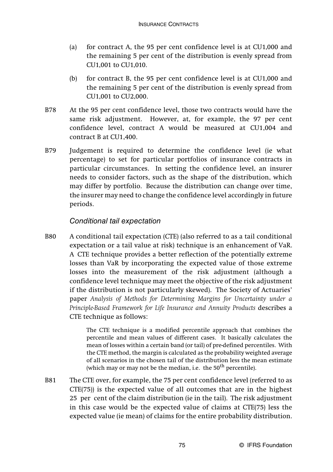- (a) for contract A, the 95 per cent confidence level is at CU1,000 and the remaining 5 per cent of the distribution is evenly spread from CU1,001 to CU1,010.
- (b) for contract B, the 95 per cent confidence level is at CU1,000 and the remaining 5 per cent of the distribution is evenly spread from CU1,001 to CU2,000.
- B78 At the 95 per cent confidence level, those two contracts would have the same risk adjustment. However, at, for example, the 97 per cent confidence level, contract A would be measured at CU1,004 and contract B at CU1,400.
- B79 Judgement is required to determine the confidence level (ie what percentage) to set for particular portfolios of insurance contracts in particular circumstances. In setting the confidence level, an insurer needs to consider factors, such as the shape of the distribution, which may differ by portfolio. Because the distribution can change over time, the insurer may need to change the confidence level accordingly in future periods.

# Conditional tail expectation

B80 A conditional tail expectation (CTE) (also referred to as a tail conditional expectation or a tail value at risk) technique is an enhancement of VaR. A CTE technique provides a better reflection of the potentially extreme losses than VaR by incorporating the expected value of those extreme losses into the measurement of the risk adjustment (although a confidence level technique may meet the objective of the risk adjustment if the distribution is not particularly skewed). The Society of Actuaries' paper *Analysis of Methods for Determining Margins for Uncertainty under a Principle-Based Framework for Life Insurance and Annuity Products* describes a CTE technique as follows:

> The CTE technique is a modified percentile approach that combines the percentile and mean values of different cases. It basically calculates the mean of losses within a certain band (or tail) of pre-defined percentiles. With the CTE method, the margin is calculated as the probability weighted average of all scenarios in the chosen tail of the distribution less the mean estimate (which may or may not be the median, i.e. the  $50<sup>th</sup>$  percentile).

B81 The CTE over, for example, the 75 per cent confidence level (referred to as CTE(75)) is the expected value of all outcomes that are in the highest 25 per cent of the claim distribution (ie in the tail). The risk adjustment in this case would be the expected value of claims at CTE(75) less the expected value (ie mean) of claims for the entire probability distribution.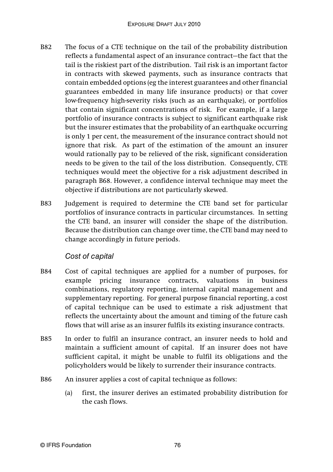- B82 The focus of a CTE technique on the tail of the probability distribution reflects a fundamental aspect of an insurance contract—the fact that the tail is the riskiest part of the distribution. Tail risk is an important factor in contracts with skewed payments, such as insurance contracts that contain embedded options (eg the interest guarantees and other financial guarantees embedded in many life insurance products) or that cover low-frequency high-severity risks (such as an earthquake), or portfolios that contain significant concentrations of risk. For example, if a large portfolio of insurance contracts is subject to significant earthquake risk but the insurer estimates that the probability of an earthquake occurring is only 1 per cent, the measurement of the insurance contract should not ignore that risk. As part of the estimation of the amount an insurer would rationally pay to be relieved of the risk, significant consideration needs to be given to the tail of the loss distribution. Consequently, CTE techniques would meet the objective for a risk adjustment described in paragraph B68. However, a confidence interval technique may meet the objective if distributions are not particularly skewed.
- B83 Judgement is required to determine the CTE band set for particular portfolios of insurance contracts in particular circumstances. In setting the CTE band, an insurer will consider the shape of the distribution. Because the distribution can change over time, the CTE band may need to change accordingly in future periods.

#### Cost of capital

- B84 Cost of capital techniques are applied for a number of purposes, for example pricing insurance contracts, valuations in business combinations, regulatory reporting, internal capital management and supplementary reporting. For general purpose financial reporting, a cost of capital technique can be used to estimate a risk adjustment that reflects the uncertainty about the amount and timing of the future cash flows that will arise as an insurer fulfils its existing insurance contracts.
- B85 In order to fulfil an insurance contract, an insurer needs to hold and maintain a sufficient amount of capital. If an insurer does not have sufficient capital, it might be unable to fulfil its obligations and the policyholders would be likely to surrender their insurance contracts.
- B86 An insurer applies a cost of capital technique as follows:
	- (a) first, the insurer derives an estimated probability distribution for the cash flows.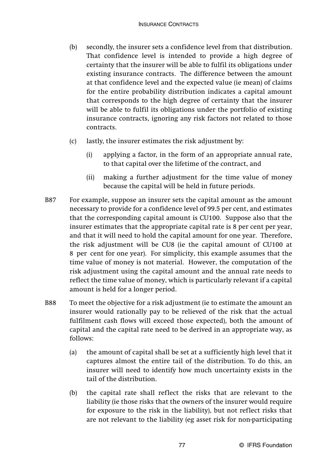- (b) secondly, the insurer sets a confidence level from that distribution. That confidence level is intended to provide a high degree of certainty that the insurer will be able to fulfil its obligations under existing insurance contracts. The difference between the amount at that confidence level and the expected value (ie mean) of claims for the entire probability distribution indicates a capital amount that corresponds to the high degree of certainty that the insurer will be able to fulfil its obligations under the portfolio of existing insurance contracts, ignoring any risk factors not related to those contracts.
- (c) lastly, the insurer estimates the risk adjustment by:
	- (i) applying a factor, in the form of an appropriate annual rate, to that capital over the lifetime of the contract, and
	- (ii) making a further adjustment for the time value of money because the capital will be held in future periods.
- B87 For example, suppose an insurer sets the capital amount as the amount necessary to provide for a confidence level of 99.5 per cent, and estimates that the corresponding capital amount is CU100. Suppose also that the insurer estimates that the appropriate capital rate is 8 per cent per year, and that it will need to hold the capital amount for one year. Therefore, the risk adjustment will be CU8 (ie the capital amount of CU100 at 8 per cent for one year). For simplicity, this example assumes that the time value of money is not material. However, the computation of the risk adjustment using the capital amount and the annual rate needs to reflect the time value of money, which is particularly relevant if a capital amount is held for a longer period.
- B88 To meet the objective for a risk adjustment (ie to estimate the amount an insurer would rationally pay to be relieved of the risk that the actual fulfilment cash flows will exceed those expected), both the amount of capital and the capital rate need to be derived in an appropriate way, as follows:
	- (a) the amount of capital shall be set at a sufficiently high level that it captures almost the entire tail of the distribution. To do this, an insurer will need to identify how much uncertainty exists in the tail of the distribution.
	- (b) the capital rate shall reflect the risks that are relevant to the liability (ie those risks that the owners of the insurer would require for exposure to the risk in the liability), but not reflect risks that are not relevant to the liability (eg asset risk for non-participating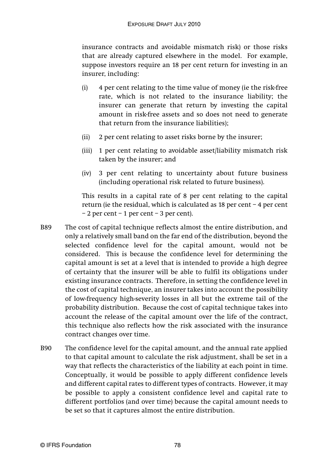insurance contracts and avoidable mismatch risk) or those risks that are already captured elsewhere in the model. For example, suppose investors require an 18 per cent return for investing in an insurer, including:

- (i) 4 per cent relating to the time value of money (ie the risk-free rate, which is not related to the insurance liability; the insurer can generate that return by investing the capital amount in risk-free assets and so does not need to generate that return from the insurance liabilities);
- (ii) 2 per cent relating to asset risks borne by the insurer;
- (iii) 1 per cent relating to avoidable asset/liability mismatch risk taken by the insurer; and
- (iv) 3 per cent relating to uncertainty about future business (including operational risk related to future business).

This results in a capital rate of 8 per cent relating to the capital return (ie the residual, which is calculated as 18 per cent – 4 per cent  $-2$  per cent  $-1$  per cent  $-3$  per cent).

- B89 The cost of capital technique reflects almost the entire distribution, and only a relatively small band on the far end of the distribution, beyond the selected confidence level for the capital amount, would not be considered. This is because the confidence level for determining the capital amount is set at a level that is intended to provide a high degree of certainty that the insurer will be able to fulfil its obligations under existing insurance contracts. Therefore, in setting the confidence level in the cost of capital technique, an insurer takes into account the possibility of low-frequency high-severity losses in all but the extreme tail of the probability distribution. Because the cost of capital technique takes into account the release of the capital amount over the life of the contract, this technique also reflects how the risk associated with the insurance contract changes over time.
- B90 The confidence level for the capital amount, and the annual rate applied to that capital amount to calculate the risk adjustment, shall be set in a way that reflects the characteristics of the liability at each point in time. Conceptually, it would be possible to apply different confidence levels and different capital rates to different types of contracts. However, it may be possible to apply a consistent confidence level and capital rate to different portfolios (and over time) because the capital amount needs to be set so that it captures almost the entire distribution.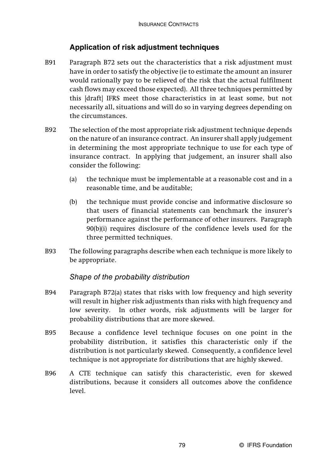## **Application of risk adjustment techniques**

- B91 Paragraph B72 sets out the characteristics that a risk adjustment must have in order to satisfy the objective (ie to estimate the amount an insurer would rationally pay to be relieved of the risk that the actual fulfilment cash flows may exceed those expected). All three techniques permitted by this [draft] IFRS meet those characteristics in at least some, but not necessarily all, situations and will do so in varying degrees depending on the circumstances.
- B92 The selection of the most appropriate risk adjustment technique depends on the nature of an insurance contract. An insurer shall apply judgement in determining the most appropriate technique to use for each type of insurance contract. In applying that judgement, an insurer shall also consider the following:
	- (a) the technique must be implementable at a reasonable cost and in a reasonable time, and be auditable;
	- (b) the technique must provide concise and informative disclosure so that users of financial statements can benchmark the insurer's performance against the performance of other insurers. Paragraph 90(b)(i) requires disclosure of the confidence levels used for the three permitted techniques.
- B93 The following paragraphs describe when each technique is more likely to be appropriate.

#### Shape of the probability distribution

- B94 Paragraph B72(a) states that risks with low frequency and high severity will result in higher risk adjustments than risks with high frequency and low severity. In other words, risk adjustments will be larger for probability distributions that are more skewed.
- B95 Because a confidence level technique focuses on one point in the probability distribution, it satisfies this characteristic only if the distribution is not particularly skewed. Consequently, a confidence level technique is not appropriate for distributions that are highly skewed.
- B96 A CTE technique can satisfy this characteristic, even for skewed distributions, because it considers all outcomes above the confidence level.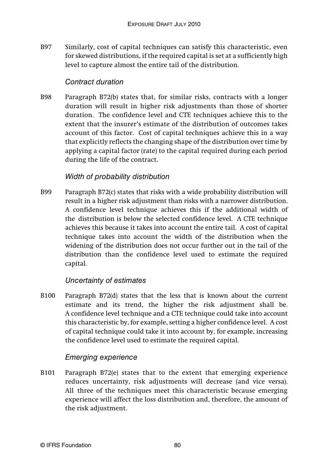B97 Similarly, cost of capital techniques can satisfy this characteristic, even for skewed distributions, if the required capital is set at a sufficiently high level to capture almost the entire tail of the distribution.

## Contract duration

B98 Paragraph B72(b) states that, for similar risks, contracts with a longer duration will result in higher risk adjustments than those of shorter duration. The confidence level and CTE techniques achieve this to the extent that the insurer's estimate of the distribution of outcomes takes account of this factor. Cost of capital techniques achieve this in a way that explicitly reflects the changing shape of the distribution over time by applying a capital factor (rate) to the capital required during each period during the life of the contract.

# Width of probability distribution

B99 Paragraph B72(c) states that risks with a wide probability distribution will result in a higher risk adjustment than risks with a narrower distribution. A confidence level technique achieves this if the additional width of the distribution is below the selected confidence level. A CTE technique achieves this because it takes into account the entire tail. A cost of capital technique takes into account the width of the distribution when the widening of the distribution does not occur further out in the tail of the distribution than the confidence level used to estimate the required capital.

# Uncertainty of estimates

B100 Paragraph B72(d) states that the less that is known about the current estimate and its trend, the higher the risk adjustment shall be. A confidence level technique and a CTE technique could take into account this characteristic by, for example, setting a higher confidence level. A cost of capital technique could take it into account by, for example, increasing the confidence level used to estimate the required capital.

# Emerging experience

B101 Paragraph B72(e) states that to the extent that emerging experience reduces uncertainty, risk adjustments will decrease (and vice versa). All three of the techniques meet this characteristic because emerging experience will affect the loss distribution and, therefore, the amount of the risk adjustment.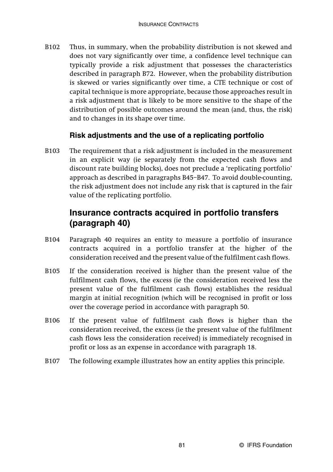B102 Thus, in summary, when the probability distribution is not skewed and does not vary significantly over time, a confidence level technique can typically provide a risk adjustment that possesses the characteristics described in paragraph B72. However, when the probability distribution is skewed or varies significantly over time, a CTE technique or cost of capital technique is more appropriate, because those approaches result in a risk adjustment that is likely to be more sensitive to the shape of the distribution of possible outcomes around the mean (and, thus, the risk) and to changes in its shape over time.

# **Risk adjustments and the use of a replicating portfolio**

B103 The requirement that a risk adjustment is included in the measurement in an explicit way (ie separately from the expected cash flows and discount rate building blocks), does not preclude a 'replicating portfolio' approach as described in paragraphs B45–B47. To avoid double-counting, the risk adjustment does not include any risk that is captured in the fair value of the replicating portfolio.

# **Insurance contracts acquired in portfolio transfers (paragraph 40)**

- B104 Paragraph 40 requires an entity to measure a portfolio of insurance contracts acquired in a portfolio transfer at the higher of the consideration received and the present value of the fulfilment cash flows.
- B105 If the consideration received is higher than the present value of the fulfilment cash flows, the excess (ie the consideration received less the present value of the fulfilment cash flows) establishes the residual margin at initial recognition (which will be recognised in profit or loss over the coverage period in accordance with paragraph 50.
- B106 If the present value of fulfilment cash flows is higher than the consideration received, the excess (ie the present value of the fulfilment cash flows less the consideration received) is immediately recognised in profit or loss as an expense in accordance with paragraph 18.
- B107 The following example illustrates how an entity applies this principle.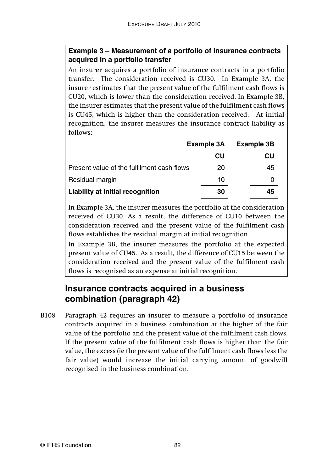# **Example 3 – Measurement of a portfolio of insurance contracts acquired in a portfolio transfer**

An insurer acquires a portfolio of insurance contracts in a portfolio transfer. The consideration received is CU30. In Example 3A, the insurer estimates that the present value of the fulfilment cash flows is CU20, which is lower than the consideration received. In Example 3B, the insurer estimates that the present value of the fulfilment cash flows is CU45, which is higher than the consideration received. At initial recognition, the insurer measures the insurance contract liability as follows:

|                                            | Example 3A | <b>Example 3B</b> |
|--------------------------------------------|------------|-------------------|
|                                            | CU         | CU                |
| Present value of the fulfilment cash flows | 20         | 45                |
| Residual margin                            | 10         | Ω                 |
| Liability at initial recognition           | 30         | 45                |

In Example 3A, the insurer measures the portfolio at the consideration received of CU30. As a result, the difference of CU10 between the consideration received and the present value of the fulfilment cash flows establishes the residual margin at initial recognition.

In Example 3B, the insurer measures the portfolio at the expected present value of CU45. As a result, the difference of CU15 between the consideration received and the present value of the fulfilment cash flows is recognised as an expense at initial recognition.

# **Insurance contracts acquired in a business combination (paragraph 42)**

B108 Paragraph 42 requires an insurer to measure a portfolio of insurance contracts acquired in a business combination at the higher of the fair value of the portfolio and the present value of the fulfilment cash flows. If the present value of the fulfilment cash flows is higher than the fair value, the excess (ie the present value of the fulfilment cash flows less the fair value) would increase the initial carrying amount of goodwill recognised in the business combination.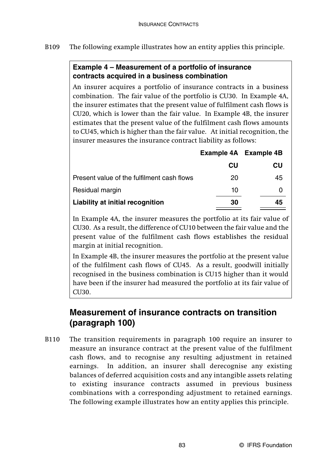## **Example 4 – Measurement of a portfolio of insurance contracts acquired in a business combination**

An insurer acquires a portfolio of insurance contracts in a business combination. The fair value of the portfolio is CU30. In Example 4A, the insurer estimates that the present value of fulfilment cash flows is CU20, which is lower than the fair value. In Example 4B, the insurer estimates that the present value of the fulfilment cash flows amounts to CU45, which is higher than the fair value. At initial recognition, the insurer measures the insurance contract liability as follows:

|    | Example 4A Example 4B |
|----|-----------------------|
| CU | CU                    |
| 20 | 45                    |
| 10 |                       |
| 30 | 45                    |
|    |                       |

In Example 4A, the insurer measures the portfolio at its fair value of CU30. As a result, the difference of CU10 between the fair value and the present value of the fulfilment cash flows establishes the residual margin at initial recognition.

In Example 4B, the insurer measures the portfolio at the present value of the fulfilment cash flows of CU45. As a result, goodwill initially recognised in the business combination is CU15 higher than it would have been if the insurer had measured the portfolio at its fair value of CU30.

# **Measurement of insurance contracts on transition (paragraph 100)**

B110 The transition requirements in paragraph 100 require an insurer to measure an insurance contract at the present value of the fulfilment cash flows, and to recognise any resulting adjustment in retained earnings. In addition, an insurer shall derecognise any existing balances of deferred acquisition costs and any intangible assets relating to existing insurance contracts assumed in previous business combinations with a corresponding adjustment to retained earnings. The following example illustrates how an entity applies this principle.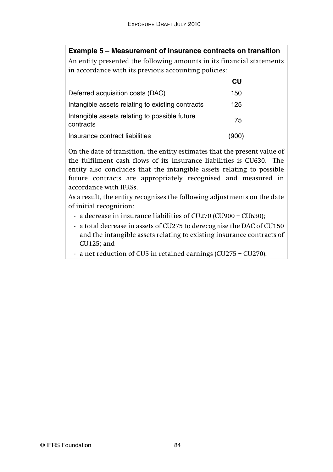## **Example 5 – Measurement of insurance contracts on transition**

An entity presented the following amounts in its financial statements in accordance with its previous accounting policies:

|                                                            | СU    |
|------------------------------------------------------------|-------|
| Deferred acquisition costs (DAC)                           | 150   |
| Intangible assets relating to existing contracts           | 125   |
| Intangible assets relating to possible future<br>contracts | 75    |
| Insurance contract liabilities                             | (900) |

On the date of transition, the entity estimates that the present value of the fulfilment cash flows of its insurance liabilities is CU630. The entity also concludes that the intangible assets relating to possible future contracts are appropriately recognised and measured in accordance with IFRSs.

As a result, the entity recognises the following adjustments on the date of initial recognition:

- a decrease in insurance liabilities of CU270 (CU900 CU630);
- a total decrease in assets of CU275 to derecognise the DAC of CU150 and the intangible assets relating to existing insurance contracts of CU125; and
- a net reduction of CU5 in retained earnings (CU275 CU270).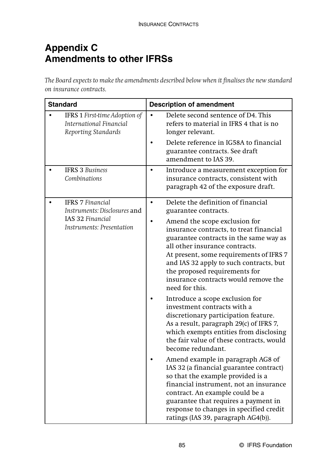# **Appendix C Amendments to other IFRSs**

*The Board expects to make the amendments described below when it finalises the new standard on insurance contracts.*

| <b>Standard</b>                                                                 | <b>Description of amendment</b>                                                                                                                                                                                                                                                                                                       |  |
|---------------------------------------------------------------------------------|---------------------------------------------------------------------------------------------------------------------------------------------------------------------------------------------------------------------------------------------------------------------------------------------------------------------------------------|--|
| IFRS 1 First-time Adoption of<br>International Financial<br>Reporting Standards | Delete second sentence of D4. This<br>refers to material in IFRS 4 that is no<br>longer relevant.<br>Delete reference in IG58A to financial                                                                                                                                                                                           |  |
|                                                                                 | guarantee contracts. See draft<br>amendment to IAS 39.                                                                                                                                                                                                                                                                                |  |
| <b>IFRS 3 Business</b><br>Combinations                                          | Introduce a measurement exception for<br>٠<br>insurance contracts, consistent with<br>paragraph 42 of the exposure draft.                                                                                                                                                                                                             |  |
| <b>IFRS 7 Financial</b><br>Instruments: Disclosures and                         | Delete the definition of financial<br>$\bullet$<br>guarantee contracts.                                                                                                                                                                                                                                                               |  |
| IAS 32 Financial<br>Instruments: Presentation                                   | Amend the scope exclusion for<br>insurance contracts, to treat financial<br>guarantee contracts in the same way as<br>all other insurance contracts.<br>At present, some requirements of IFRS 7<br>and IAS 32 apply to such contracts, but<br>the proposed requirements for<br>insurance contracts would remove the<br>need for this. |  |
|                                                                                 | Introduce a scope exclusion for<br>investment contracts with a<br>discretionary participation feature.<br>As a result, paragraph 29(c) of IFRS 7,<br>which exempts entities from disclosing<br>the fair value of these contracts, would<br>become redundant.                                                                          |  |
|                                                                                 | Amend example in paragraph AG8 of<br>IAS 32 (a financial guarantee contract)<br>so that the example provided is a<br>financial instrument, not an insurance<br>contract. An example could be a<br>guarantee that requires a payment in<br>response to changes in specified credit<br>ratings (IAS 39, paragraph AG4(b)).              |  |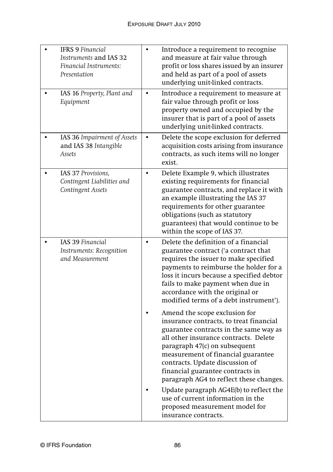| <b>IFRS 9 Financial</b><br>Instruments and IAS 32<br>Financial Instruments:<br>Presentation |           | Introduce a requirement to recognise<br>and measure at fair value through<br>profit or loss shares issued by an insurer<br>and held as part of a pool of assets<br>underlying unit-linked contracts.                                                                                                                                                 |
|---------------------------------------------------------------------------------------------|-----------|------------------------------------------------------------------------------------------------------------------------------------------------------------------------------------------------------------------------------------------------------------------------------------------------------------------------------------------------------|
| IAS 16 Property, Plant and<br>Equipment                                                     | $\bullet$ | Introduce a requirement to measure at<br>fair value through profit or loss<br>property owned and occupied by the<br>insurer that is part of a pool of assets<br>underlying unit-linked contracts.                                                                                                                                                    |
| IAS 36 Impairment of Assets<br>and IAS 38 Intangible<br>Assets                              | $\bullet$ | Delete the scope exclusion for deferred<br>acquisition costs arising from insurance<br>contracts, as such items will no longer<br>exist.                                                                                                                                                                                                             |
| IAS 37 Provisions,<br>Contingent Liabilities and<br>Contingent Assets                       | $\bullet$ | Delete Example 9, which illustrates<br>existing requirements for financial<br>guarantee contracts, and replace it with<br>an example illustrating the IAS 37<br>requirements for other guarantee<br>obligations (such as statutory<br>guarantees) that would continue to be<br>within the scope of IAS 37.                                           |
| IAS 39 Financial<br>Instruments: Recognition<br>and Measurement                             | $\bullet$ | Delete the definition of a financial<br>guarantee contract ('a contract that<br>requires the issuer to make specified<br>payments to reimburse the holder for a<br>loss it incurs because a specified debtor<br>fails to make payment when due in<br>accordance with the original or<br>modified terms of a debt instrument').                       |
|                                                                                             |           | Amend the scope exclusion for<br>insurance contracts, to treat financial<br>guarantee contracts in the same way as<br>all other insurance contracts. Delete<br>paragraph 47(c) on subsequent<br>measurement of financial guarantee<br>contracts. Update discussion of<br>financial guarantee contracts in<br>paragraph AG4 to reflect these changes. |
|                                                                                             |           | Update paragraph AG4E(b) to reflect the<br>use of current information in the<br>proposed measurement model for<br>insurance contracts.                                                                                                                                                                                                               |